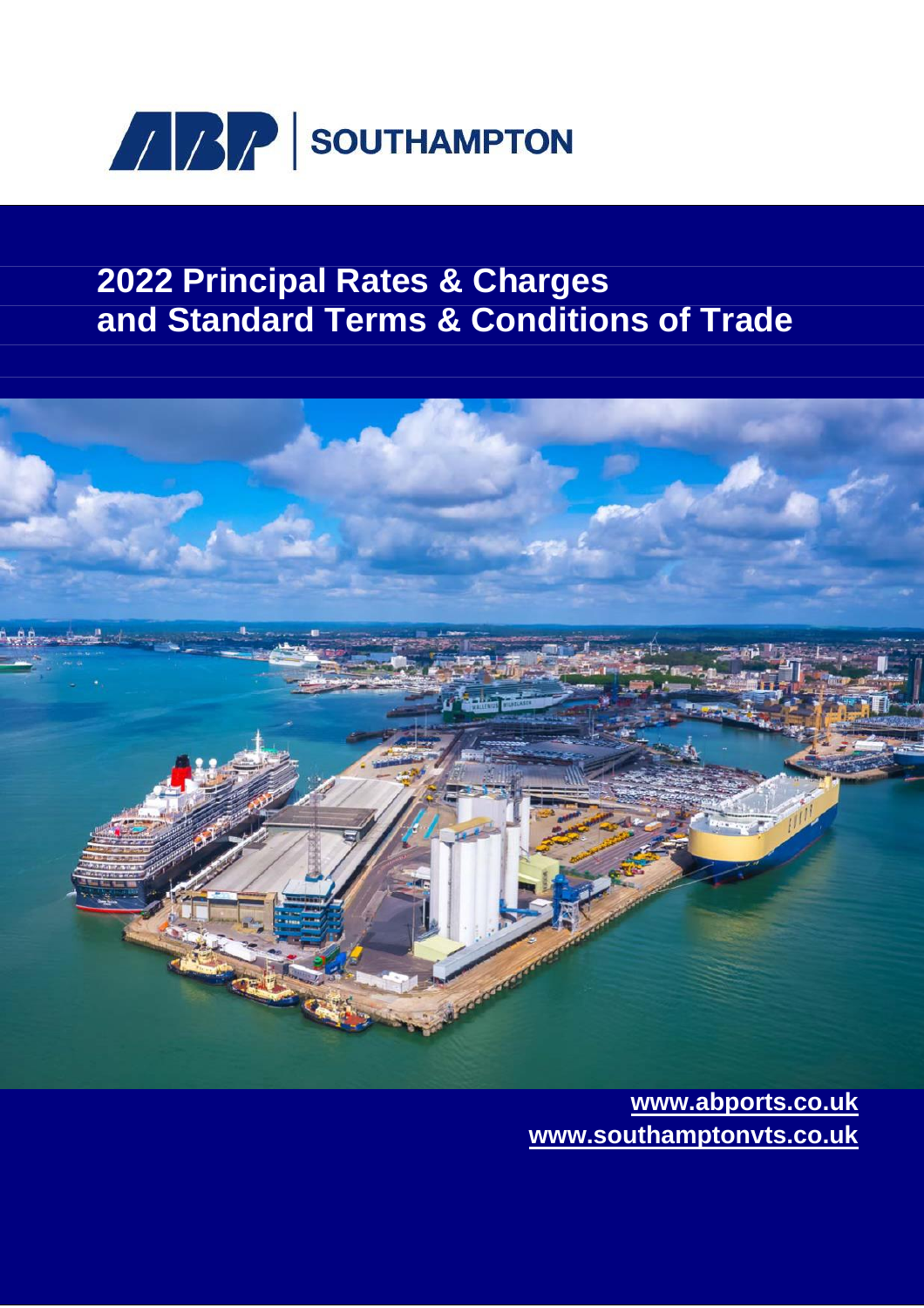

# **2022 Principal Rates & Charges and Standard Terms & Conditions of Trade**



**www.abports.co.uk www.southamptonvts.co.uk**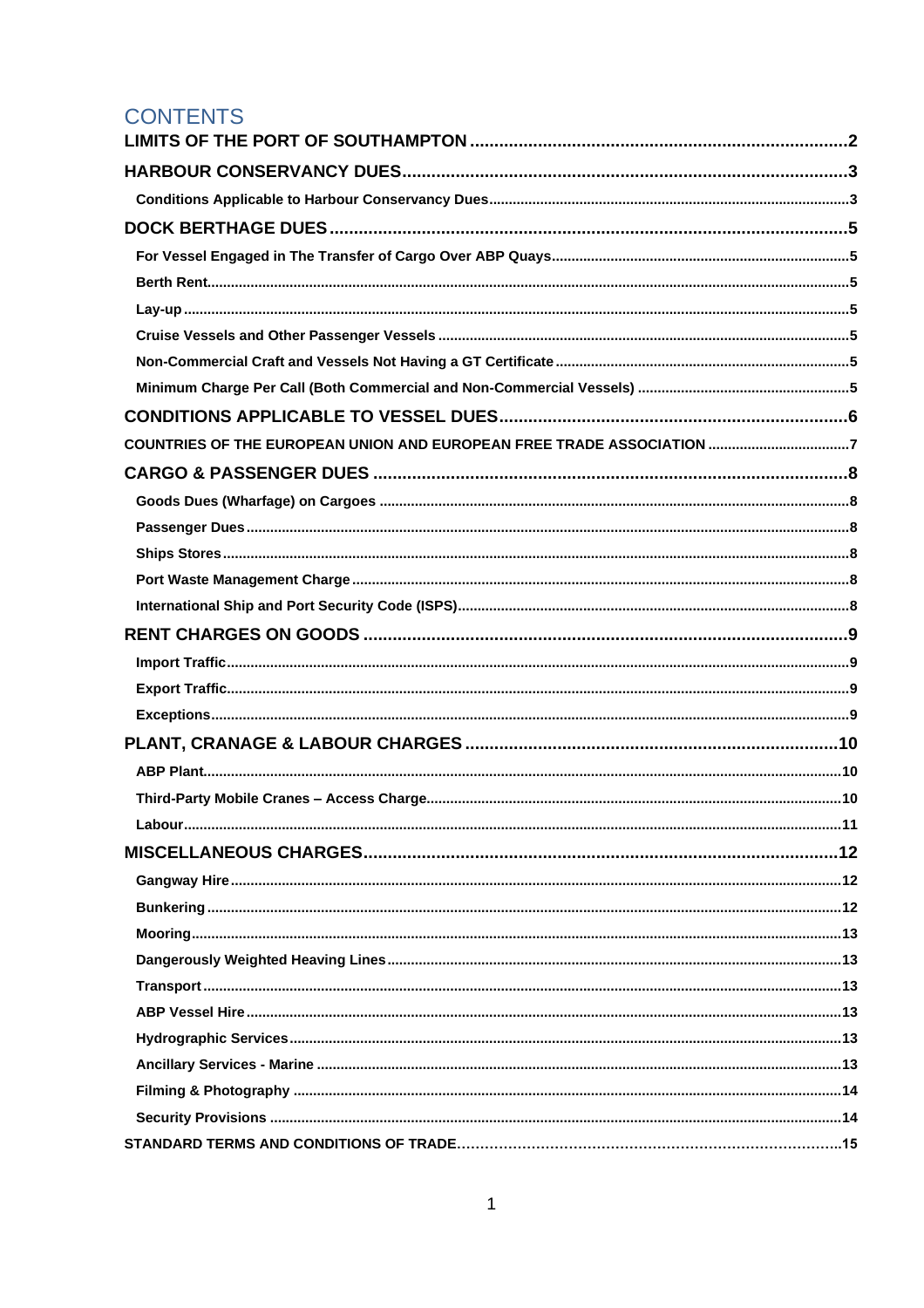## **CONTENTS**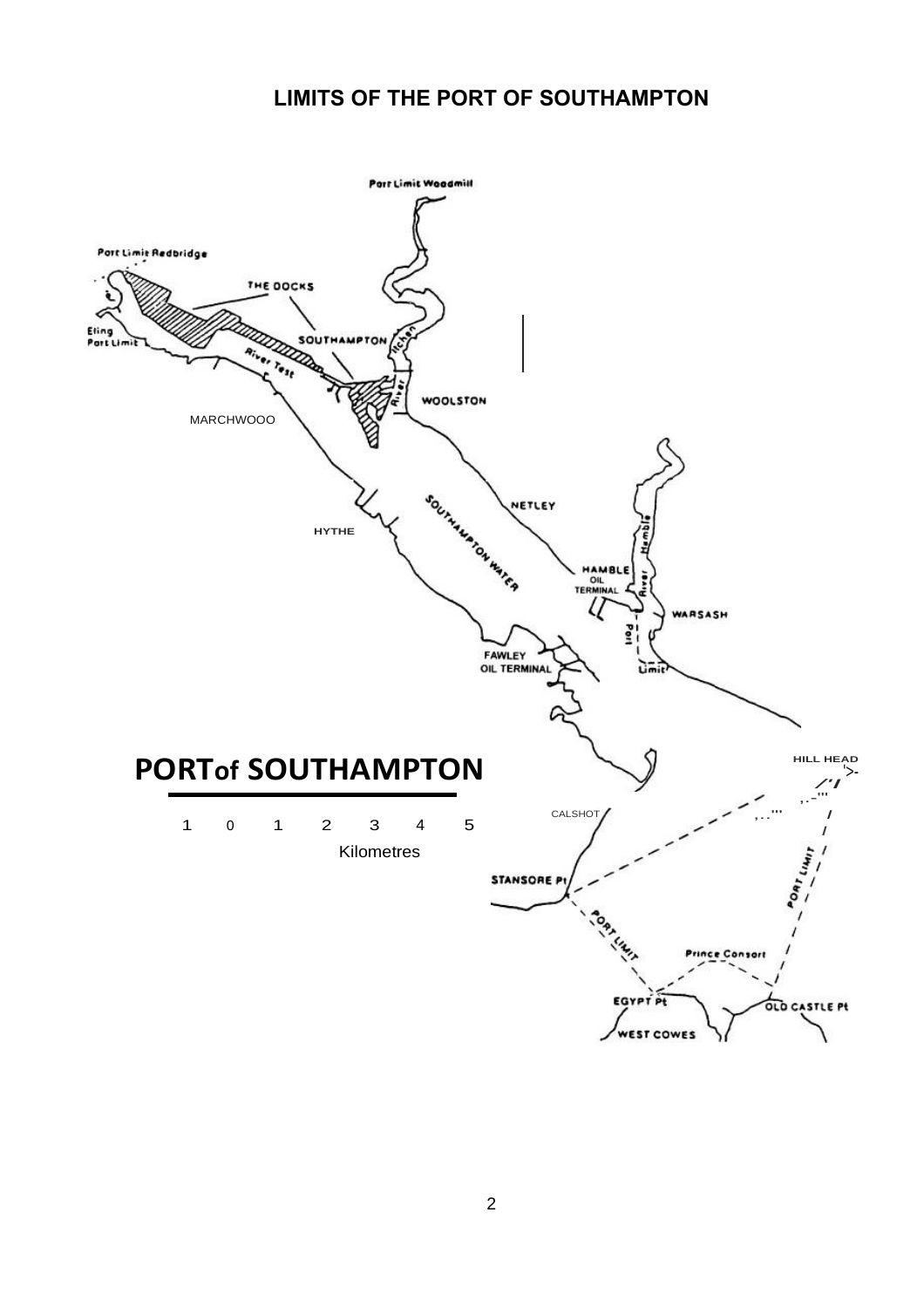## **LIMITS OF THE PORT OF SOUTHAMPTON**

<span id="page-2-0"></span>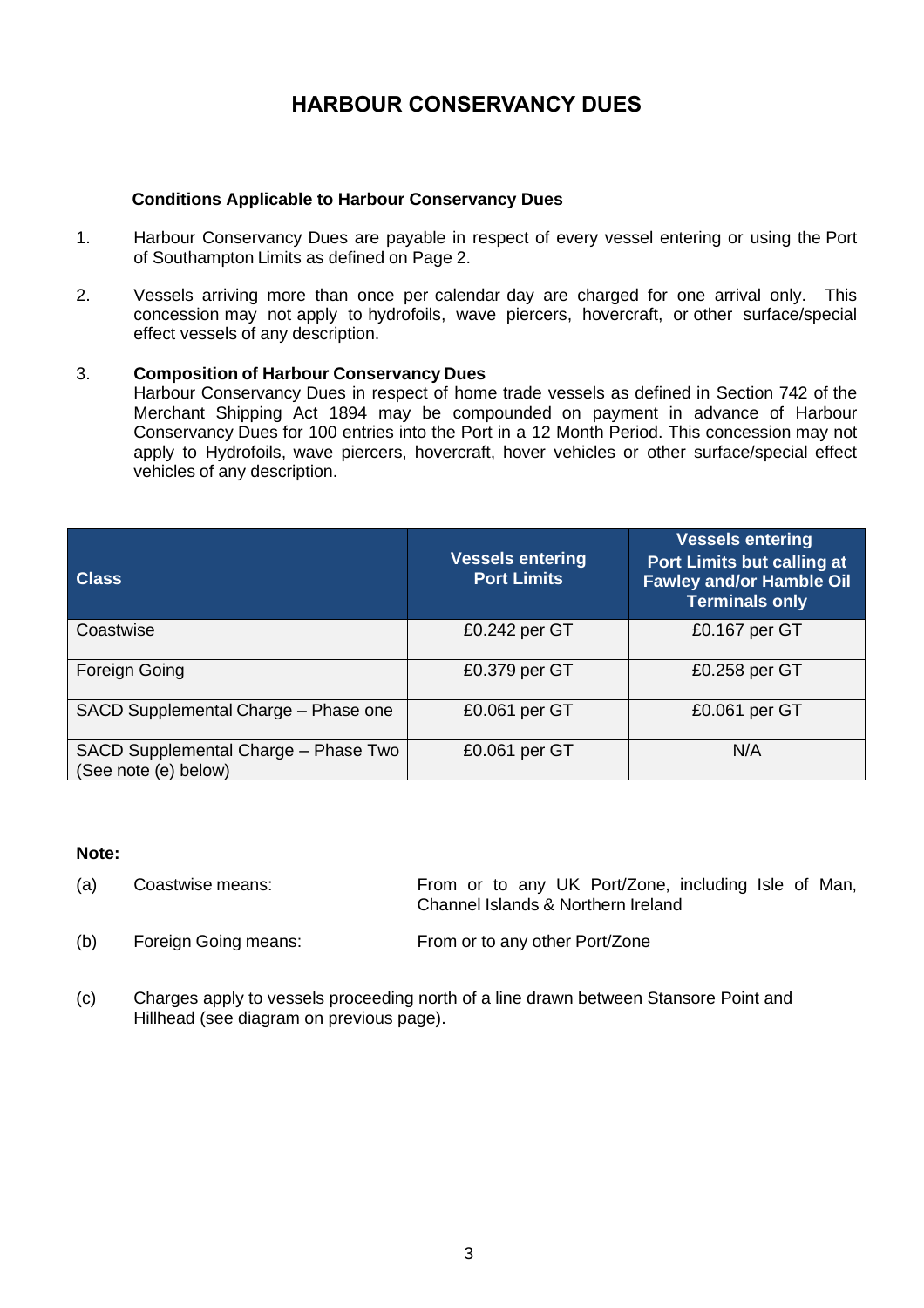## **HARBOUR CONSERVANCY DUES**

### <span id="page-3-0"></span>**Conditions Applicable to Harbour Conservancy Dues**

- <span id="page-3-1"></span>1. Harbour Conservancy Dues are payable in respect of every vessel entering or using the Port of Southampton Limits as defined on Page 2.
- 2. Vessels arriving more than once per calendar day are charged for one arrival only. This concession may not apply to hydrofoils, wave piercers, hovercraft, or other surface/special effect vessels of any description.

### 3. **Composition of Harbour Conservancy Dues**

Harbour Conservancy Dues in respect of home trade vessels as defined in Section 742 of the Merchant Shipping Act 1894 may be compounded on payment in advance of Harbour Conservancy Dues for 100 entries into the Port in a 12 Month Period. This concession may not apply to Hydrofoils, wave piercers, hovercraft, hover vehicles or other surface/special effect vehicles of any description.

| <b>Class</b>                                                 | <b>Vessels entering</b><br><b>Port Limits</b> | <b>Vessels entering</b><br><b>Port Limits but calling at</b><br><b>Fawley and/or Hamble Oil</b><br><b>Terminals only</b> |
|--------------------------------------------------------------|-----------------------------------------------|--------------------------------------------------------------------------------------------------------------------------|
| Coastwise                                                    | £0.242 per GT                                 | £0.167 per GT                                                                                                            |
| Foreign Going                                                | £0.379 per GT                                 | £0.258 per GT                                                                                                            |
| SACD Supplemental Charge - Phase one                         | £0.061 per GT                                 | £0.061 per GT                                                                                                            |
| SACD Supplemental Charge - Phase Two<br>(See note (e) below) | £0.061 per GT                                 | N/A                                                                                                                      |

### **Note:**

(a) Coastwise means: From or to any UK Port/Zone, including Isle of Man, Channel Islands & Northern Ireland

- (b) Foreign Going means: From or to any other Port/Zone
- (c) Charges apply to vessels proceeding north of a line drawn between Stansore Point and Hillhead (see diagram on previous page).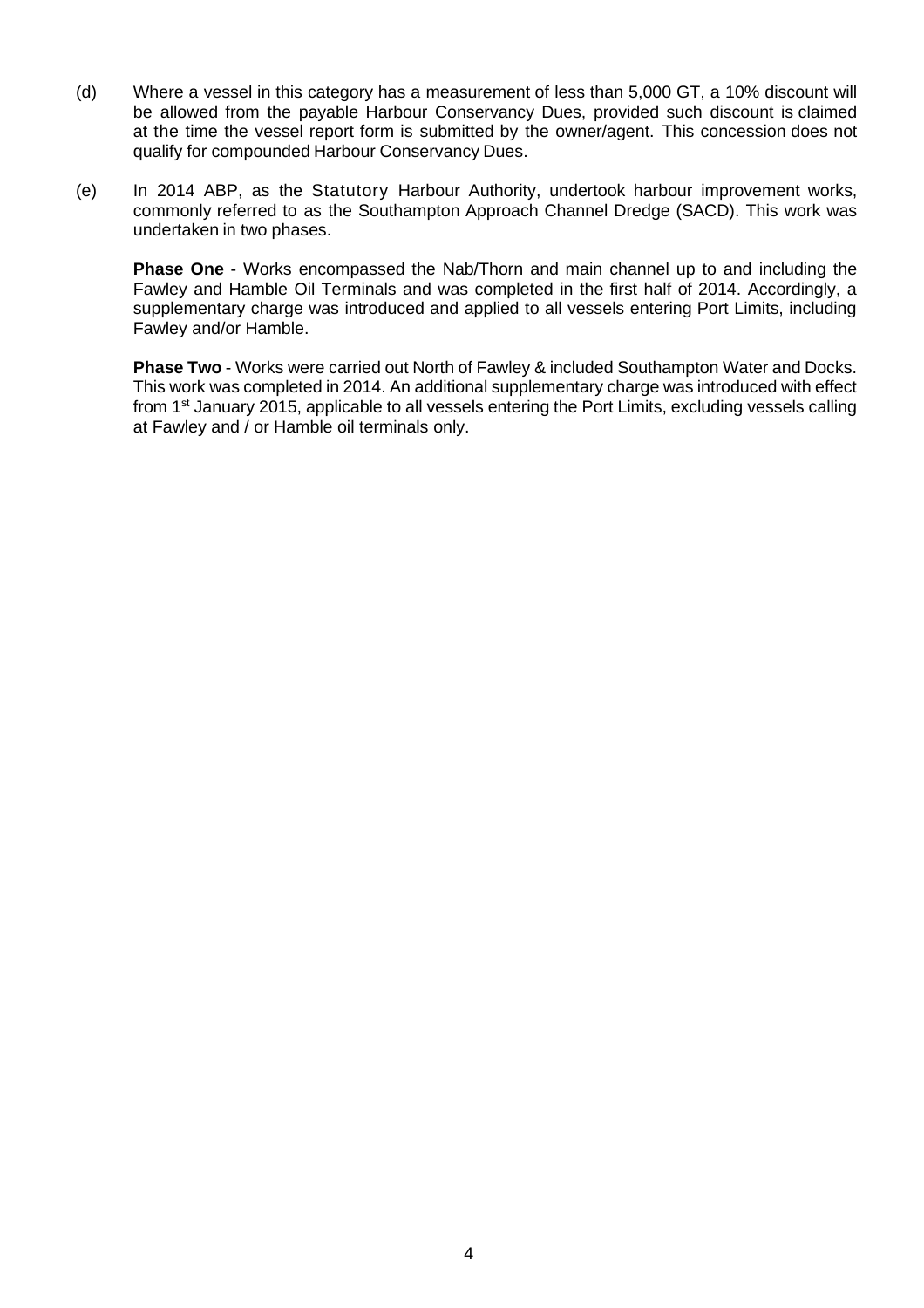- (d) Where a vessel in this category has a measurement of less than 5,000 GT, a 10% discount will be allowed from the payable Harbour Conservancy Dues, provided such discount is claimed at the time the vessel report form is submitted by the owner/agent. This concession does not qualify for compounded Harbour Conservancy Dues.
- (e) In 2014 ABP, as the Statutory Harbour Authority, undertook harbour improvement works, commonly referred to as the Southampton Approach Channel Dredge (SACD). This work was undertaken in two phases.

**Phase One** - Works encompassed the Nab/Thorn and main channel up to and including the Fawley and Hamble Oil Terminals and was completed in the first half of 2014. Accordingly, a supplementary charge was introduced and applied to all vessels entering Port Limits, including Fawley and/or Hamble.

**Phase Two** - Works were carried out North of Fawley & included Southampton Water and Docks. This work was completed in 2014. An additional supplementary charge was introduced with effect from 1<sup>st</sup> January 2015, applicable to all vessels entering the Port Limits, excluding vessels calling at Fawley and / or Hamble oil terminals only.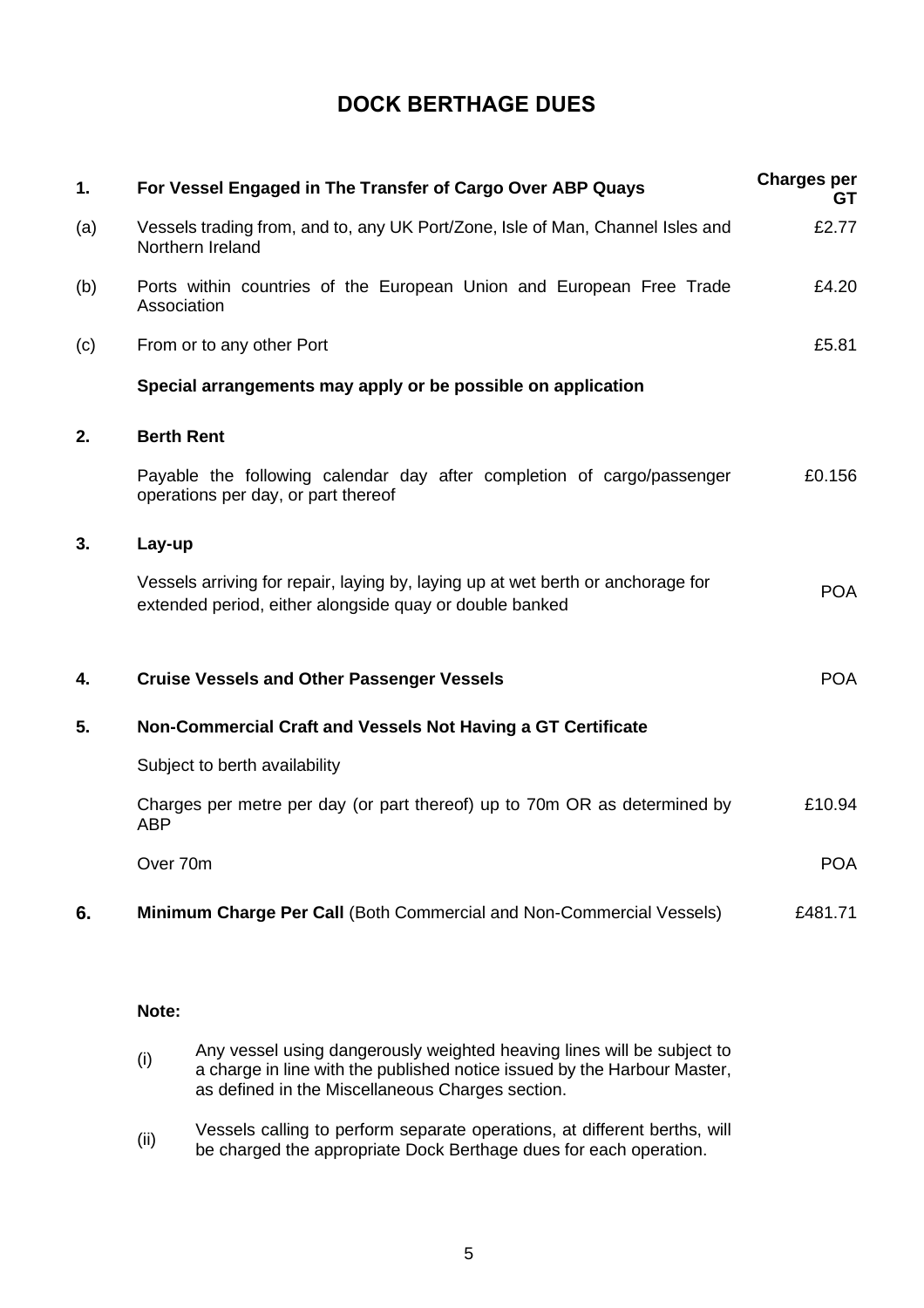## <span id="page-5-0"></span>**DOCK BERTHAGE DUES**

<span id="page-5-3"></span><span id="page-5-2"></span><span id="page-5-1"></span>

| 1.  | For Vessel Engaged in The Transfer of Cargo Over ABP Quays                                                                                 | <b>Charges per</b><br>GT. |
|-----|--------------------------------------------------------------------------------------------------------------------------------------------|---------------------------|
| (a) | Vessels trading from, and to, any UK Port/Zone, Isle of Man, Channel Isles and<br>Northern Ireland                                         | £2.77                     |
| (b) | Ports within countries of the European Union and European Free Trade<br>Association                                                        | £4.20                     |
| (c) | From or to any other Port                                                                                                                  | £5.81                     |
|     | Special arrangements may apply or be possible on application                                                                               |                           |
| 2.  | <b>Berth Rent</b>                                                                                                                          |                           |
|     | Payable the following calendar day after completion of cargo/passenger<br>operations per day, or part thereof                              | £0.156                    |
| 3.  | Lay-up                                                                                                                                     |                           |
|     | Vessels arriving for repair, laying by, laying up at wet berth or anchorage for<br>extended period, either alongside quay or double banked | <b>POA</b>                |
| 4.  | <b>Cruise Vessels and Other Passenger Vessels</b>                                                                                          | <b>POA</b>                |
| 5.  | Non-Commercial Craft and Vessels Not Having a GT Certificate                                                                               |                           |
|     | Subject to berth availability                                                                                                              |                           |
|     | Charges per metre per day (or part thereof) up to 70m OR as determined by<br><b>ABP</b>                                                    | £10.94                    |
|     | Over 70m                                                                                                                                   | <b>POA</b>                |
| 6.  | <b>Minimum Charge Per Call (Both Commercial and Non-Commercial Vessels)</b>                                                                | £481.71                   |

### <span id="page-5-6"></span><span id="page-5-5"></span><span id="page-5-4"></span>**Note:**

| (i) | Any vessel using dangerously weighted heaving lines will be subject to   |
|-----|--------------------------------------------------------------------------|
|     | a charge in line with the published notice issued by the Harbour Master, |
|     | as defined in the Miscellaneous Charges section.                         |

(ii) Vessels calling to perform separate operations, at different berths, will be charged the appropriate Dock Berthage dues for each operation.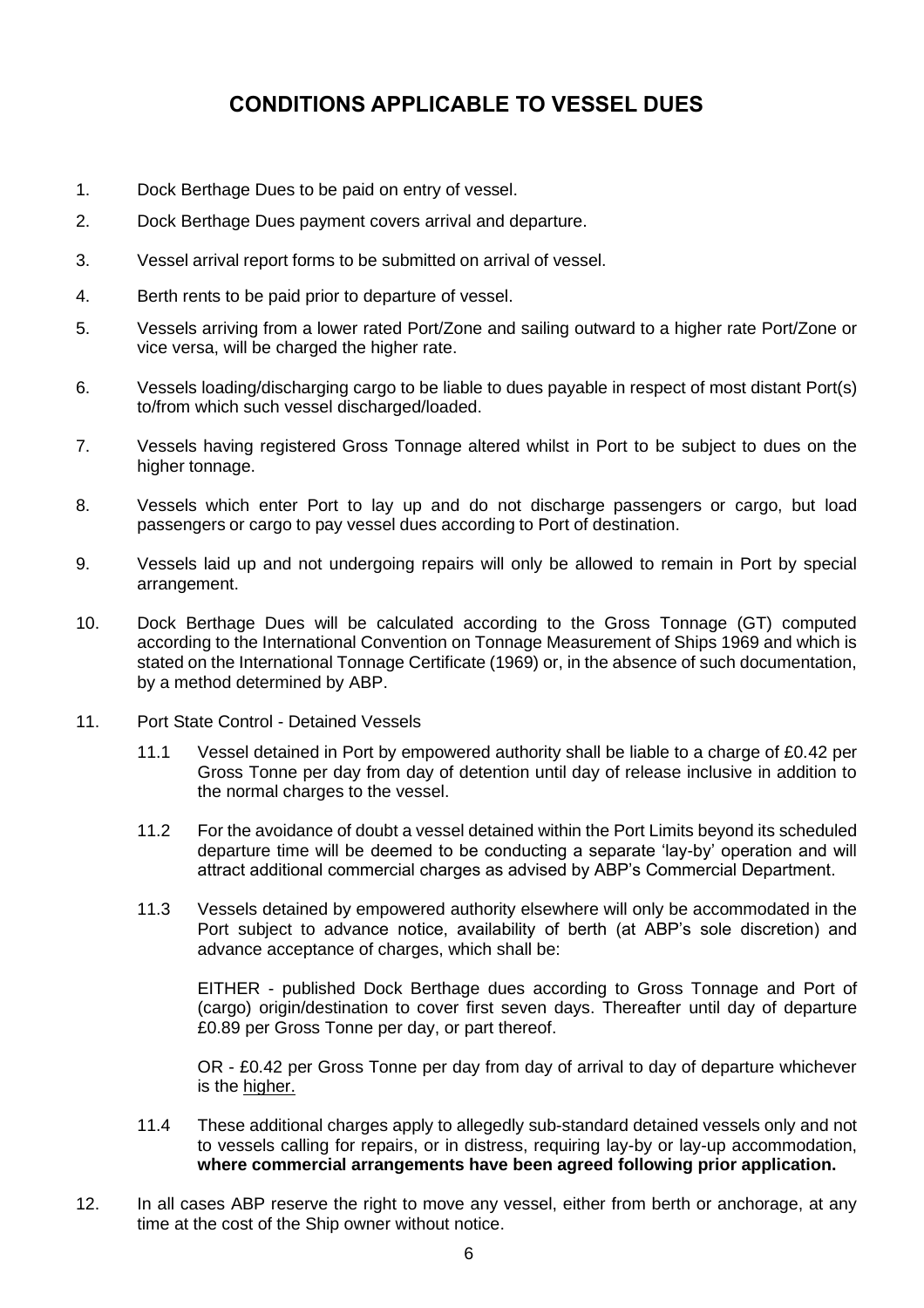## **CONDITIONS APPLICABLE TO VESSEL DUES**

- <span id="page-6-0"></span>1. Dock Berthage Dues to be paid on entry of vessel.
- 2. Dock Berthage Dues payment covers arrival and departure.
- 3. Vessel arrival report forms to be submitted on arrival of vessel.
- 4. Berth rents to be paid prior to departure of vessel.
- 5. Vessels arriving from a lower rated Port/Zone and sailing outward to a higher rate Port/Zone or vice versa, will be charged the higher rate.
- 6. Vessels loading/discharging cargo to be liable to dues payable in respect of most distant Port(s) to/from which such vessel discharged/loaded.
- 7. Vessels having registered Gross Tonnage altered whilst in Port to be subject to dues on the higher tonnage.
- 8. Vessels which enter Port to lay up and do not discharge passengers or cargo, but load passengers or cargo to pay vessel dues according to Port of destination.
- 9. Vessels laid up and not undergoing repairs will only be allowed to remain in Port by special arrangement.
- 10. Dock Berthage Dues will be calculated according to the Gross Tonnage (GT) computed according to the International Convention on Tonnage Measurement of Ships 1969 and which is stated on the International Tonnage Certificate (1969) or, in the absence of such documentation, by a method determined by ABP.
- 11. Port State Control Detained Vessels
	- 11.1 Vessel detained in Port by empowered authority shall be liable to a charge of £0.42 per Gross Tonne per day from day of detention until day of release inclusive in addition to the normal charges to the vessel.
	- 11.2 For the avoidance of doubt a vessel detained within the Port Limits beyond its scheduled departure time will be deemed to be conducting a separate 'lay-by' operation and will attract additional commercial charges as advised by ABP's Commercial Department.
	- 11.3 Vessels detained by empowered authority elsewhere will only be accommodated in the Port subject to advance notice, availability of berth (at ABP's sole discretion) and advance acceptance of charges, which shall be:

EITHER - published Dock Berthage dues according to Gross Tonnage and Port of (cargo) origin/destination to cover first seven days. Thereafter until day of departure £0.89 per Gross Tonne per day, or part thereof.

OR - £0.42 per Gross Tonne per day from day of arrival to day of departure whichever is the higher.

- 11.4 These additional charges apply to allegedly sub-standard detained vessels only and not to vessels calling for repairs, or in distress, requiring lay-by or lay-up accommodation, **where commercial arrangements have been agreed following prior application.**
- 12. In all cases ABP reserve the right to move any vessel, either from berth or anchorage, at any time at the cost of the Ship owner without notice.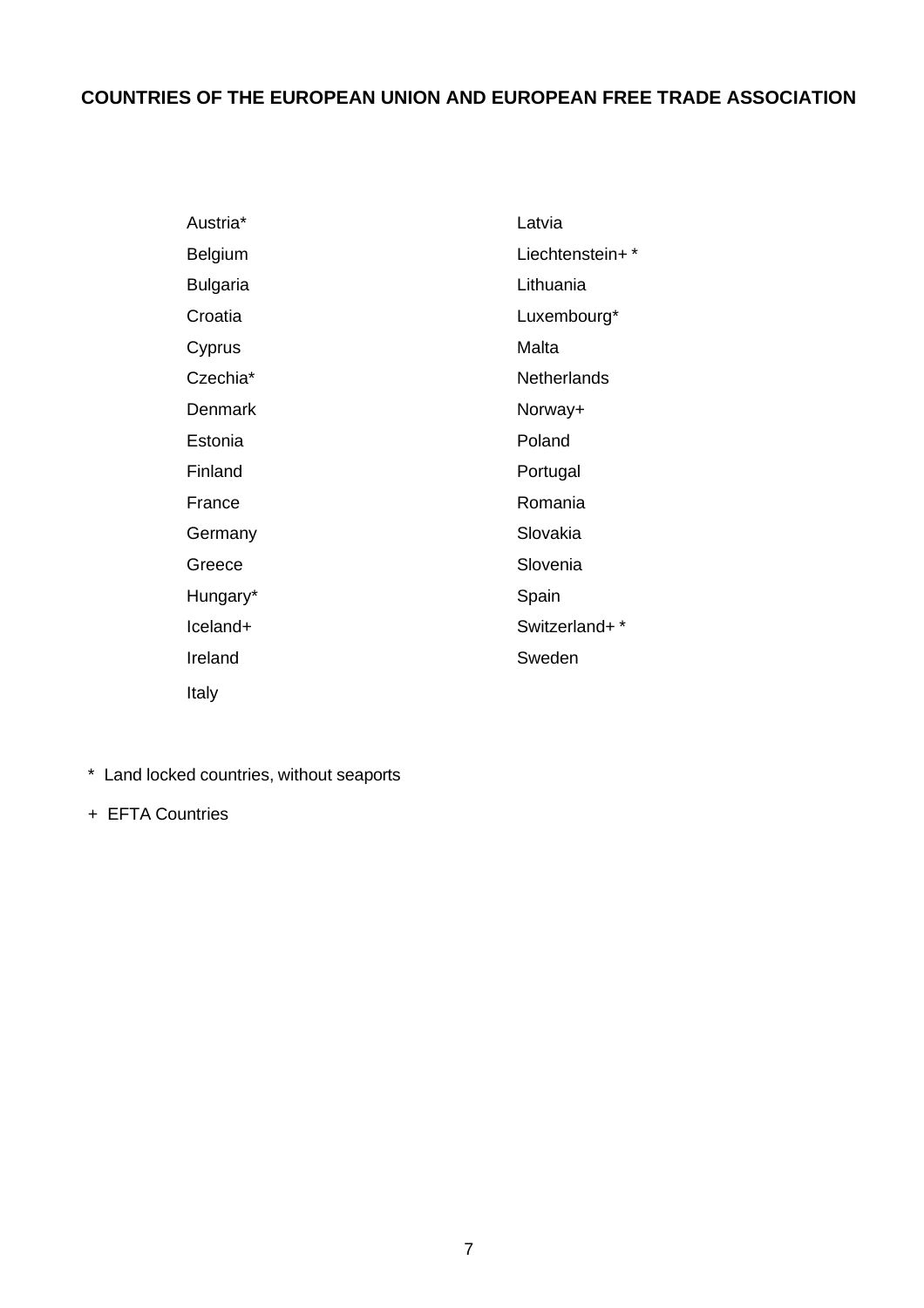## <span id="page-7-0"></span>**COUNTRIES OF THE EUROPEAN UNION AND EUROPEAN FREE TRADE ASSOCIATION**

| Austria*        | Latvia             |
|-----------------|--------------------|
| Belgium         | Liechtenstein+*    |
| <b>Bulgaria</b> | Lithuania          |
| Croatia         | Luxembourg*        |
| Cyprus          | Malta              |
| Czechia*        | <b>Netherlands</b> |
| Denmark         | Norway+            |
| Estonia         | Poland             |
| Finland         | Portugal           |
| France          | Romania            |
| Germany         | Slovakia           |
| Greece          | Slovenia           |
| Hungary*        | Spain              |
| Iceland+        | Switzerland+*      |
| Ireland         | Sweden             |
| Italy           |                    |
|                 |                    |

- \* Land locked countries, without seaports
- + EFTA Countries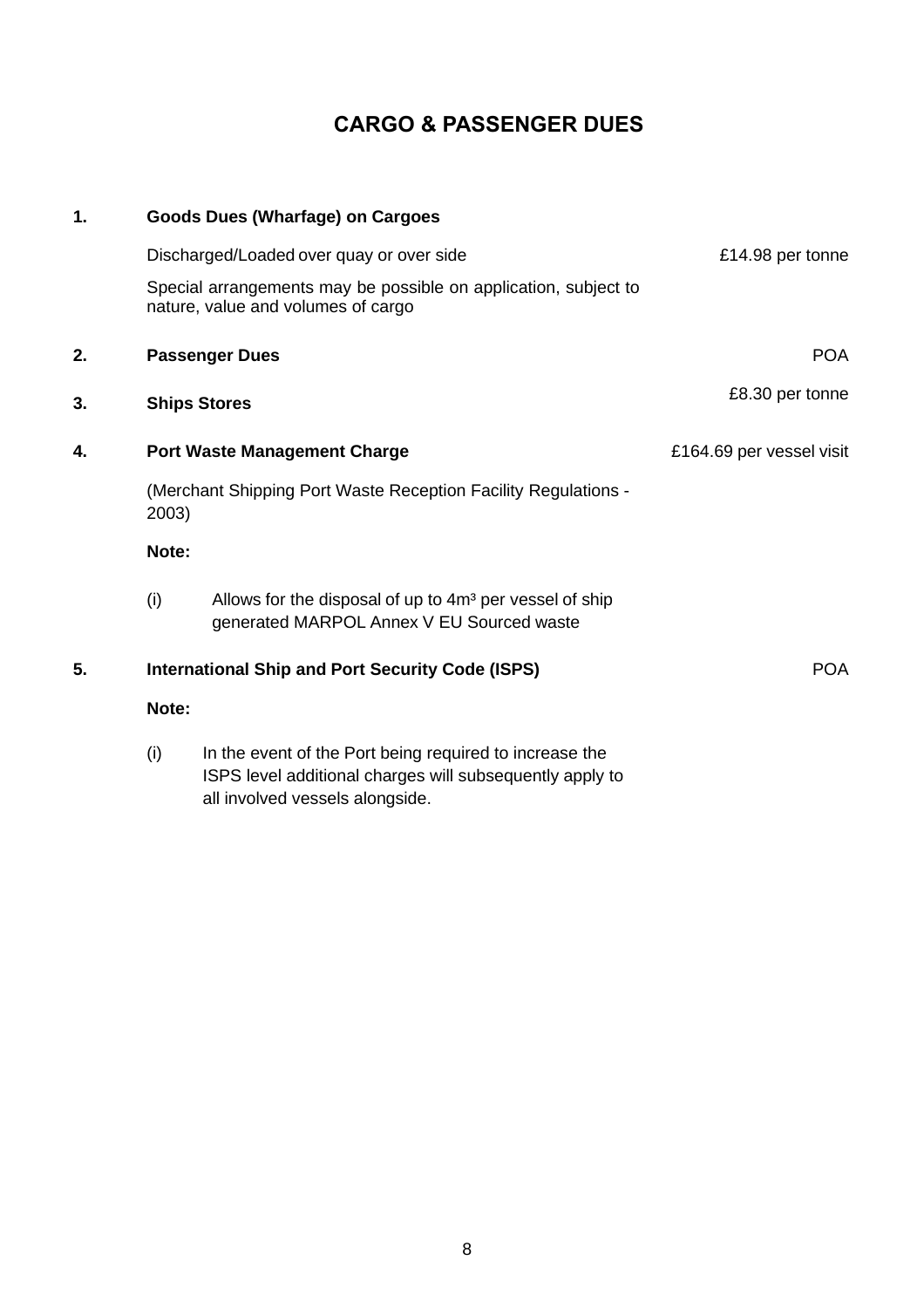## **CARGO & PASSENGER DUES**

<span id="page-8-4"></span><span id="page-8-3"></span><span id="page-8-2"></span><span id="page-8-1"></span><span id="page-8-0"></span>

| $\mathbf 1$ | <b>Goods Dues (Wharfage) on Cargoes</b> |                                                                                                                                                   |                          |  |
|-------------|-----------------------------------------|---------------------------------------------------------------------------------------------------------------------------------------------------|--------------------------|--|
|             |                                         | Discharged/Loaded over quay or over side<br>Special arrangements may be possible on application, subject to<br>nature, value and volumes of cargo | £14.98 per tonne         |  |
| 2.          |                                         | <b>Passenger Dues</b>                                                                                                                             | <b>POA</b>               |  |
| 3.          |                                         | <b>Ships Stores</b>                                                                                                                               | £8.30 per tonne          |  |
| 4.          | <b>Port Waste Management Charge</b>     |                                                                                                                                                   | £164.69 per vessel visit |  |
|             | 2003)                                   | (Merchant Shipping Port Waste Reception Facility Regulations -                                                                                    |                          |  |
|             | Note:                                   |                                                                                                                                                   |                          |  |
|             | (i)                                     | Allows for the disposal of up to 4m <sup>3</sup> per vessel of ship<br>generated MARPOL Annex V EU Sourced waste                                  |                          |  |
| 5.          |                                         | <b>International Ship and Port Security Code (ISPS)</b>                                                                                           | <b>POA</b>               |  |
|             | Note:                                   |                                                                                                                                                   |                          |  |
|             | $\sqrt{N}$                              | In the ovent of the Dert being required to increase the                                                                                           |                          |  |

<span id="page-8-5"></span>(i) In the event of the Port being required to increase the ISPS level additional charges will subsequently apply to all involved vessels alongside.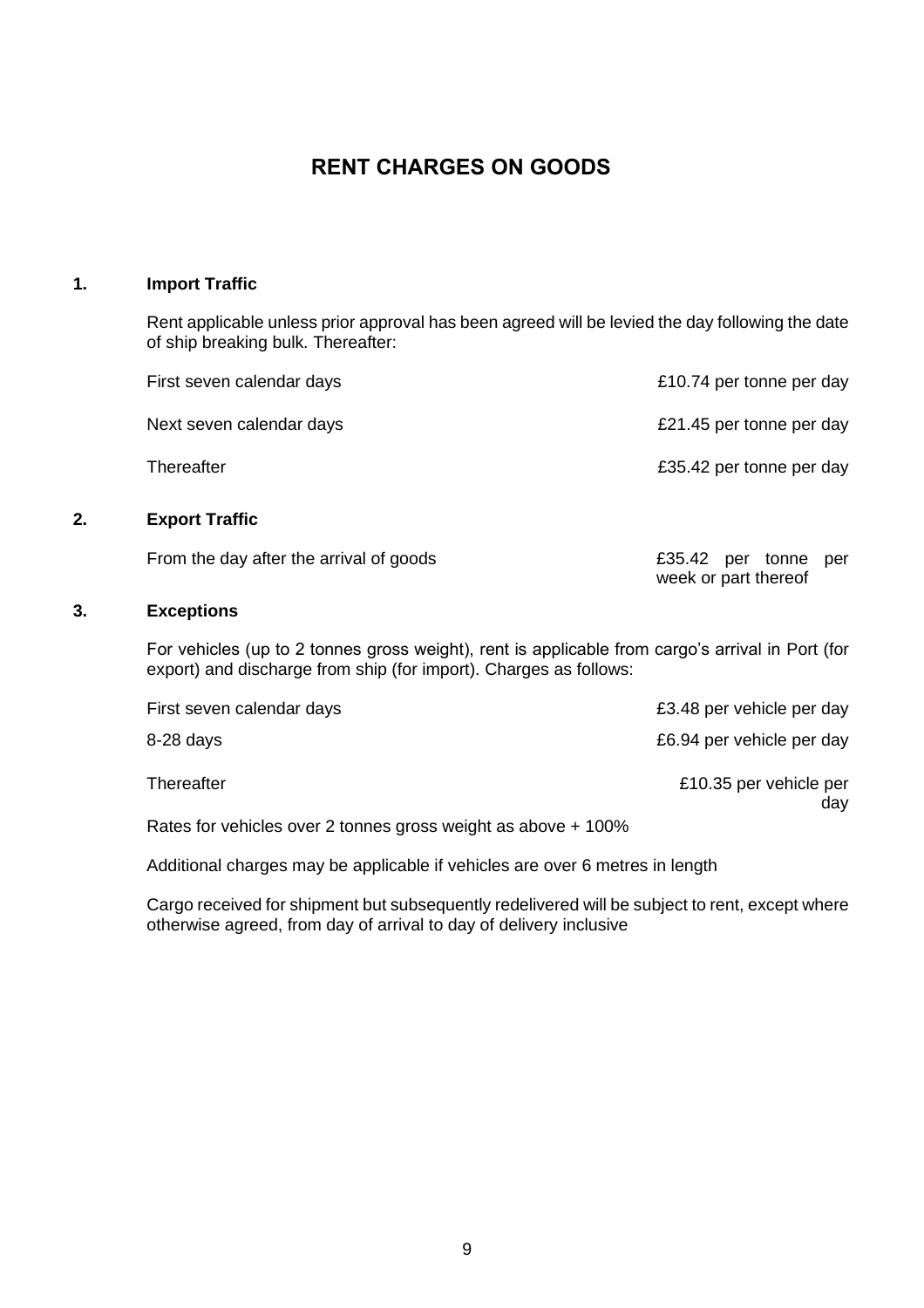## **RENT CHARGES ON GOODS**

### <span id="page-9-0"></span>**1. Import Traffic**

<span id="page-9-1"></span>Rent applicable unless prior approval has been agreed will be levied the day following the date of ship breaking bulk. Thereafter:

<span id="page-9-2"></span>

|    | First seven calendar days                                                                                                                                             | £10.74 per tonne per day                     |
|----|-----------------------------------------------------------------------------------------------------------------------------------------------------------------------|----------------------------------------------|
|    | Next seven calendar days                                                                                                                                              | £21.45 per tonne per day                     |
|    | Thereafter                                                                                                                                                            | £35.42 per tonne per day                     |
| 2. | <b>Export Traffic</b>                                                                                                                                                 |                                              |
|    | From the day after the arrival of goods                                                                                                                               | £35.42 per tonne per<br>week or part thereof |
| 3. | <b>Exceptions</b>                                                                                                                                                     |                                              |
|    | For vehicles (up to 2 tonnes gross weight), rent is applicable from cargo's arrival in Port (for<br>export) and discharge from ship (for import). Charges as follows: |                                              |
|    | First seven calendar days                                                                                                                                             | £3.48 per vehicle per day                    |
|    | $8-28$ days                                                                                                                                                           | £6.94 per vehicle per day                    |

<span id="page-9-3"></span>Thereafter **E10.35** per vehicle per

Rates for vehicles over 2 tonnes gross weight as above + 100%

Additional charges may be applicable if vehicles are over 6 metres in length

Cargo received for shipment but subsequently redelivered will be subject to rent, except where otherwise agreed, from day of arrival to day of delivery inclusive

day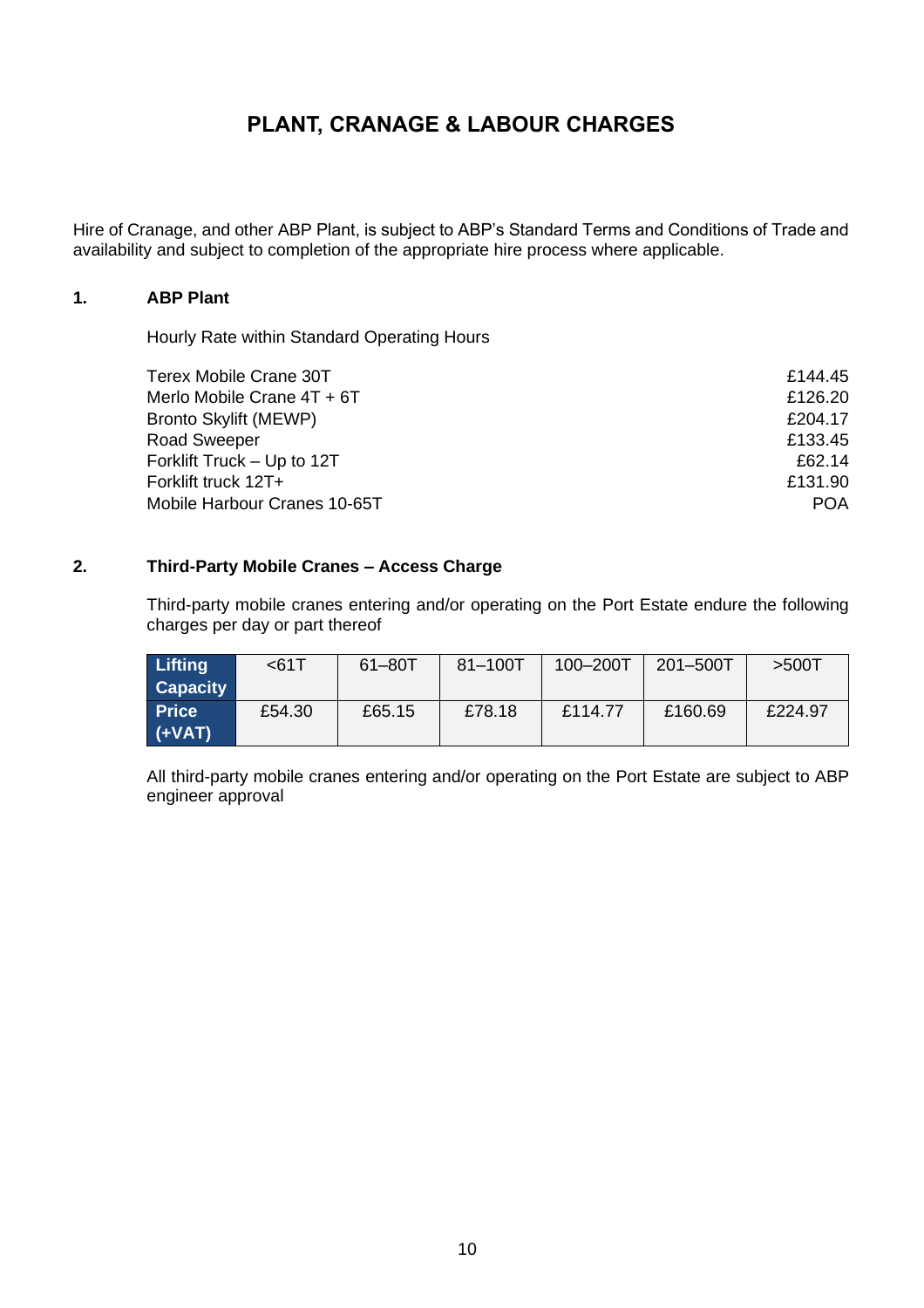## **PLANT, CRANAGE & LABOUR CHARGES**

<span id="page-10-0"></span>Hire of Cranage, and other ABP Plant, is subject to ABP's Standard Terms and Conditions of Trade and availability and subject to completion of the appropriate hire process where applicable.

### **1. ABP Plant**

<span id="page-10-1"></span>Hourly Rate within Standard Operating Hours

| Terex Mobile Crane 30T       | £144.45    |
|------------------------------|------------|
| Merlo Mobile Crane 4T + 6T   | £126.20    |
| <b>Bronto Skylift (MEWP)</b> | £204.17    |
| <b>Road Sweeper</b>          | £133.45    |
| Forklift Truck - Up to 12T   | £62.14     |
| Forklift truck 12T+          | £131.90    |
| Mobile Harbour Cranes 10-65T | <b>POA</b> |

### **2. Third-Party Mobile Cranes – Access Charge**

<span id="page-10-2"></span>Third-party mobile cranes entering and/or operating on the Port Estate endure the following charges per day or part thereof

| Lifting         | $61$   | 61-80T | $81 - 100$ T | $100 - 200$ T | $201 - 500$ T | $>500$ T |
|-----------------|--------|--------|--------------|---------------|---------------|----------|
| <b>Capacity</b> |        |        |              |               |               |          |
| <b>Price</b>    | £54.30 | £65.15 | £78.18       | £114.77       | £160.69       | £224.97  |
| $(\text{+VAT})$ |        |        |              |               |               |          |

All third-party mobile cranes entering and/or operating on the Port Estate are subject to ABP engineer approval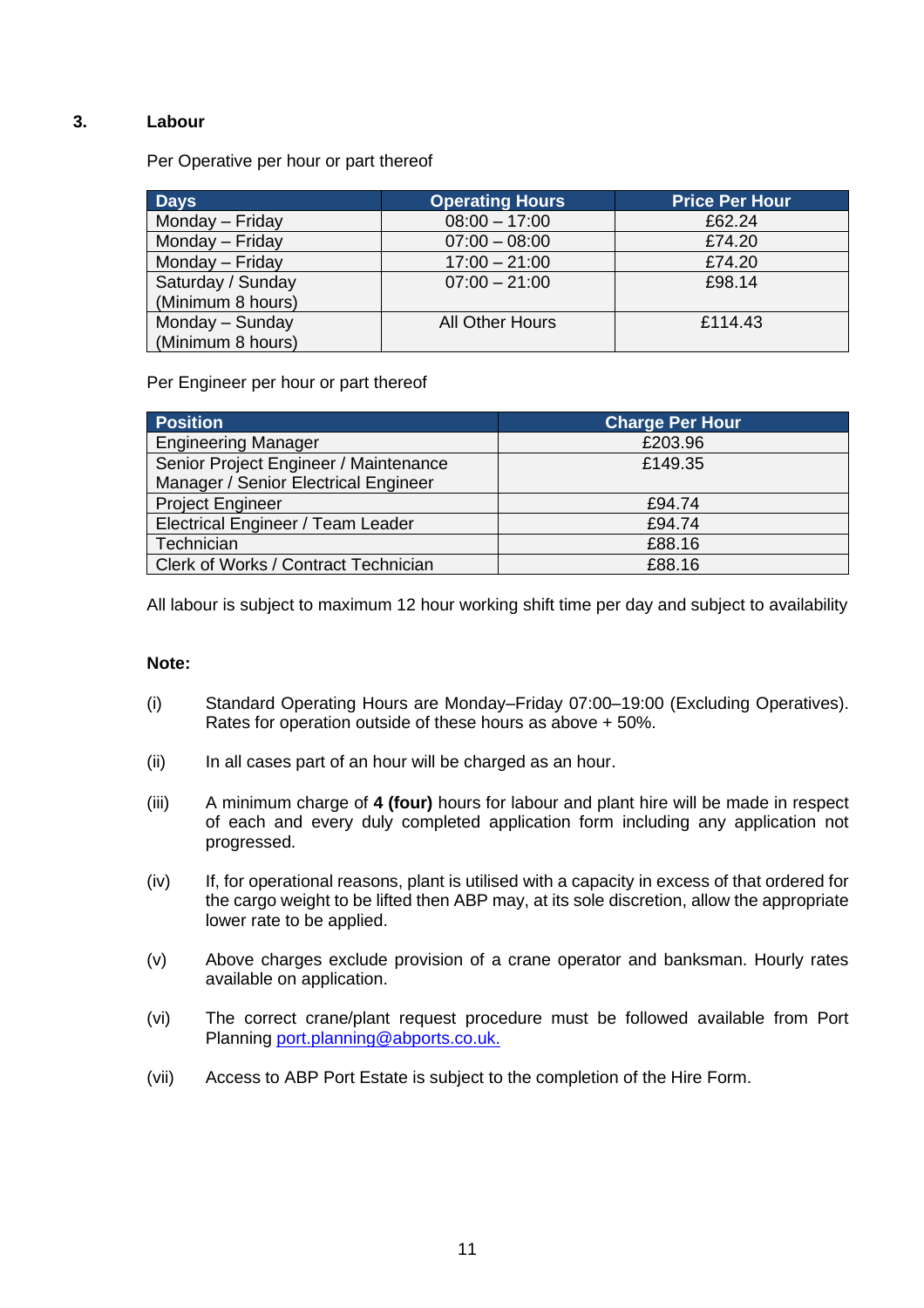### **3. Labour**

<span id="page-11-0"></span>Per Operative per hour or part thereof

| <b>Days</b>       | <b>Operating Hours</b> | <b>Price Per Hour</b> |
|-------------------|------------------------|-----------------------|
| Monday - Friday   | $08:00 - 17:00$        | £62.24                |
| Monday - Friday   | $07:00 - 08:00$        | £74.20                |
| Monday - Friday   | $17:00 - 21:00$        | £74.20                |
| Saturday / Sunday | $07:00 - 21:00$        | £98.14                |
| (Minimum 8 hours) |                        |                       |
| Monday - Sunday   | All Other Hours        | £114.43               |
| (Minimum 8 hours) |                        |                       |

Per Engineer per hour or part thereof

| <b>Position</b>                       | <b>Charge Per Hour</b> |
|---------------------------------------|------------------------|
| <b>Engineering Manager</b>            | £203.96                |
| Senior Project Engineer / Maintenance | £149.35                |
| Manager / Senior Electrical Engineer  |                        |
| <b>Project Engineer</b>               | £94.74                 |
| Electrical Engineer / Team Leader     | £94.74                 |
| Technician                            | £88.16                 |
| Clerk of Works / Contract Technician  | £88.16                 |

All labour is subject to maximum 12 hour working shift time per day and subject to availability

### **Note:**

- (i) Standard Operating Hours are Monday–Friday 07:00–19:00 (Excluding Operatives). Rates for operation outside of these hours as above + 50%.
- (ii) In all cases part of an hour will be charged as an hour.
- (iii) A minimum charge of **4 (four)** hours for labour and plant hire will be made in respect of each and every duly completed application form including any application not progressed.
- (iv) If, for operational reasons, plant is utilised with a capacity in excess of that ordered for the cargo weight to be lifted then ABP may, at its sole discretion, allow the appropriate lower rate to be applied.
- (v) Above charges exclude provision of a crane operator and banksman. Hourly rates available on application.
- (vi) The correct crane/plant request procedure must be followed available from Port Planning [port.planning@abports.co.uk.](mailto:port.planning@abports.co.uk)
- (vii) Access to ABP Port Estate is subject to the completion of the Hire Form.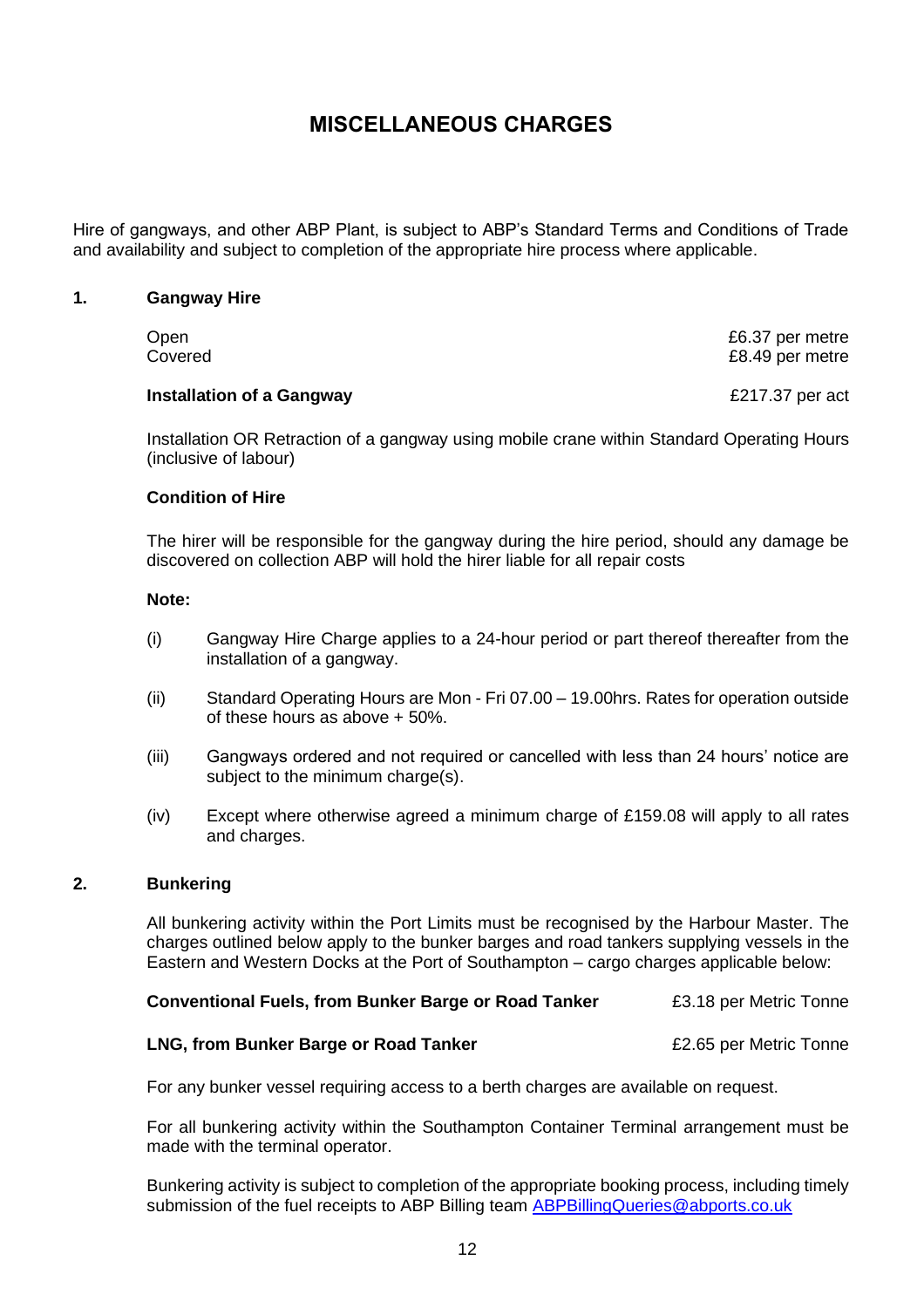## **MISCELLANEOUS CHARGES**

<span id="page-12-0"></span>Hire of gangways, and other ABP Plant, is subject to ABP's Standard Terms and Conditions of Trade and availability and subject to completion of the appropriate hire process where applicable.

### **1. Gangway Hire**

<span id="page-12-1"></span>

| Open    | £6.37 per metre |
|---------|-----------------|
| Covered | £8.49 per metre |
|         |                 |

### **Installation of a Gangway <b>E217.37** per act

Installation OR Retraction of a gangway using mobile crane within Standard Operating Hours (inclusive of labour)

### **Condition of Hire**

The hirer will be responsible for the gangway during the hire period, should any damage be discovered on collection ABP will hold the hirer liable for all repair costs

### **Note:**

- (i) Gangway Hire Charge applies to a 24-hour period or part thereof thereafter from the installation of a gangway.
- (ii) Standard Operating Hours are Mon Fri 07.00 19.00hrs. Rates for operation outside of these hours as above + 50%.
- (iii) Gangways ordered and not required or cancelled with less than 24 hours' notice are subject to the minimum charge(s).
- (iv) Except where otherwise agreed a minimum charge of £159.08 will apply to all rates and charges.

### **2. Bunkering**

<span id="page-12-2"></span>All bunkering activity within the Port Limits must be recognised by the Harbour Master. The charges outlined below apply to the bunker barges and road tankers supplying vessels in the Eastern and Western Docks at the Port of Southampton – cargo charges applicable below:

### **Conventional Fuels, from Bunker Barge or Road Tanker** 23.18 per Metric Tonne

### **LNG, from Bunker Barge or Road Tanker E2.65 per Metric Tonne**

For any bunker vessel requiring access to a berth charges are available on request.

For all bunkering activity within the Southampton Container Terminal arrangement must be made with the terminal operator.

Bunkering activity is subject to completion of the appropriate booking process, including timely submission of the fuel receipts to ABP Billing team [ABPBillingQueries@abports.co.uk](mailto:ABPBillingQueries@abports.co.uk)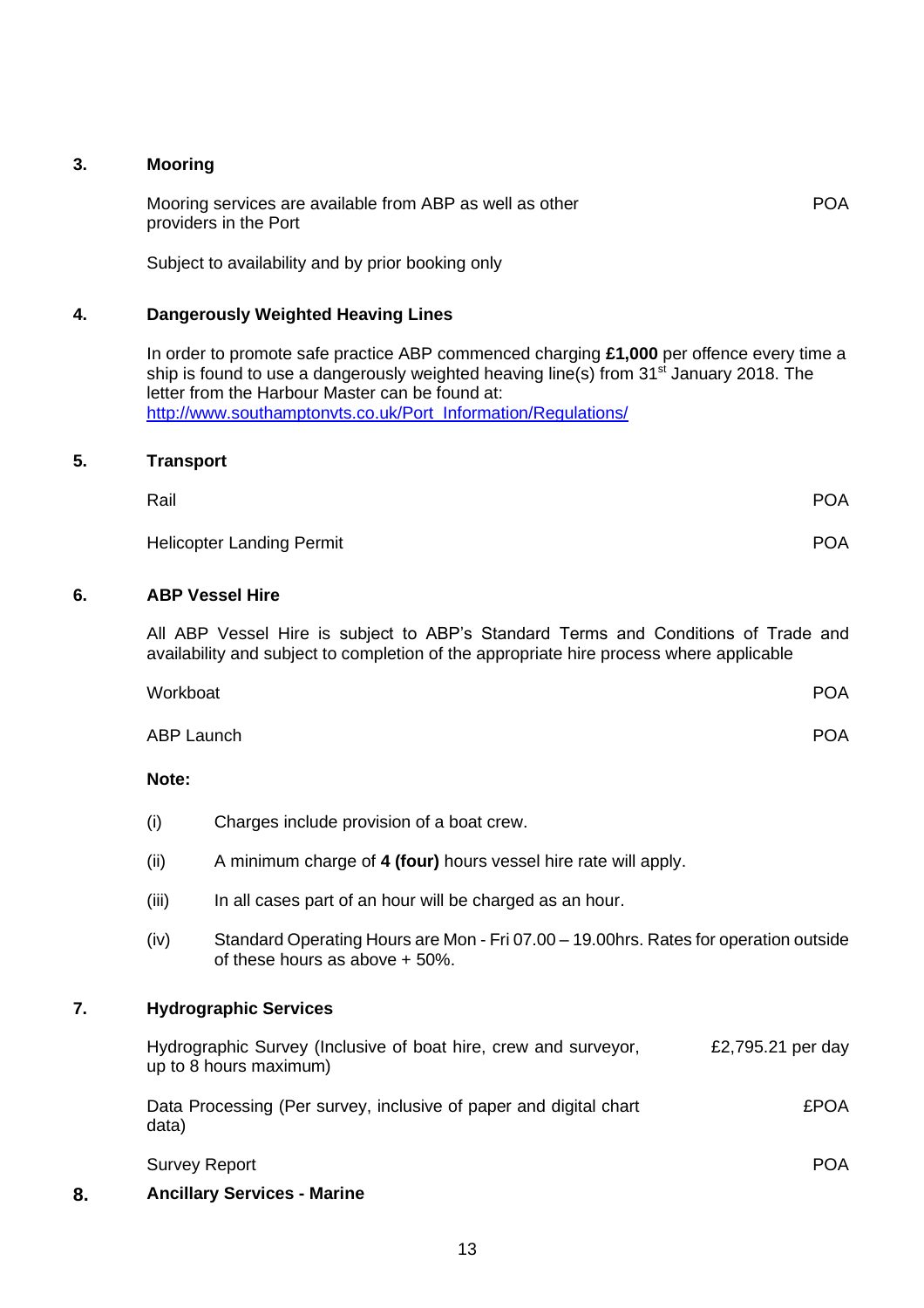### **3. Mooring**

<span id="page-13-0"></span>Mooring services are available from ABP as well as other providers in the Port POA

<span id="page-13-1"></span>Subject to availability and by prior booking only

### **4. Dangerously Weighted Heaving Lines**

In order to promote safe practice ABP commenced charging **£1,000** per offence every time a ship is found to use a dangerously weighted heaving line(s) from 31<sup>st</sup> January 2018. The letter from the Harbour Master can be found at: [http://www.southamptonvts.co.uk/Port\\_Information/Regulations/](http://www.southamptonvts.co.uk/Port_Information/Regulations/)

### **5. Transport**

<span id="page-13-2"></span>

| Rail                             | <b>POA</b> |
|----------------------------------|------------|
| <b>Helicopter Landing Permit</b> | <b>POA</b> |

### **6. ABP Vessel Hire**

<span id="page-13-3"></span>All ABP Vessel Hire is subject to ABP's Standard Terms and Conditions of Trade and availability and subject to completion of the appropriate hire process where applicable

| Workboat   | <b>POA</b> |
|------------|------------|
| ABP Launch | <b>POA</b> |

### **Note:**

- (i) Charges include provision of a boat crew.
- (ii) A minimum charge of **4 (four)** hours vessel hire rate will apply.
- (iii) In all cases part of an hour will be charged as an hour.
- (iv) Standard Operating Hours are Mon Fri 07.00 19.00hrs. Rates for operation outside of these hours as above + 50%.

### **7. Hydrographic Services**

<span id="page-13-4"></span>

| Hydrographic Survey (Inclusive of boat hire, crew and surveyor, |  | £2,795.21 per day |
|-----------------------------------------------------------------|--|-------------------|
| up to 8 hours maximum)                                          |  |                   |

Data Processing (Per survey, inclusive of paper and digital chart data) £POA

<span id="page-13-5"></span>

| <b>Survey Report</b> | <b>POA</b> |
|----------------------|------------|
|                      |            |

### **8. Ancillary Services - Marine**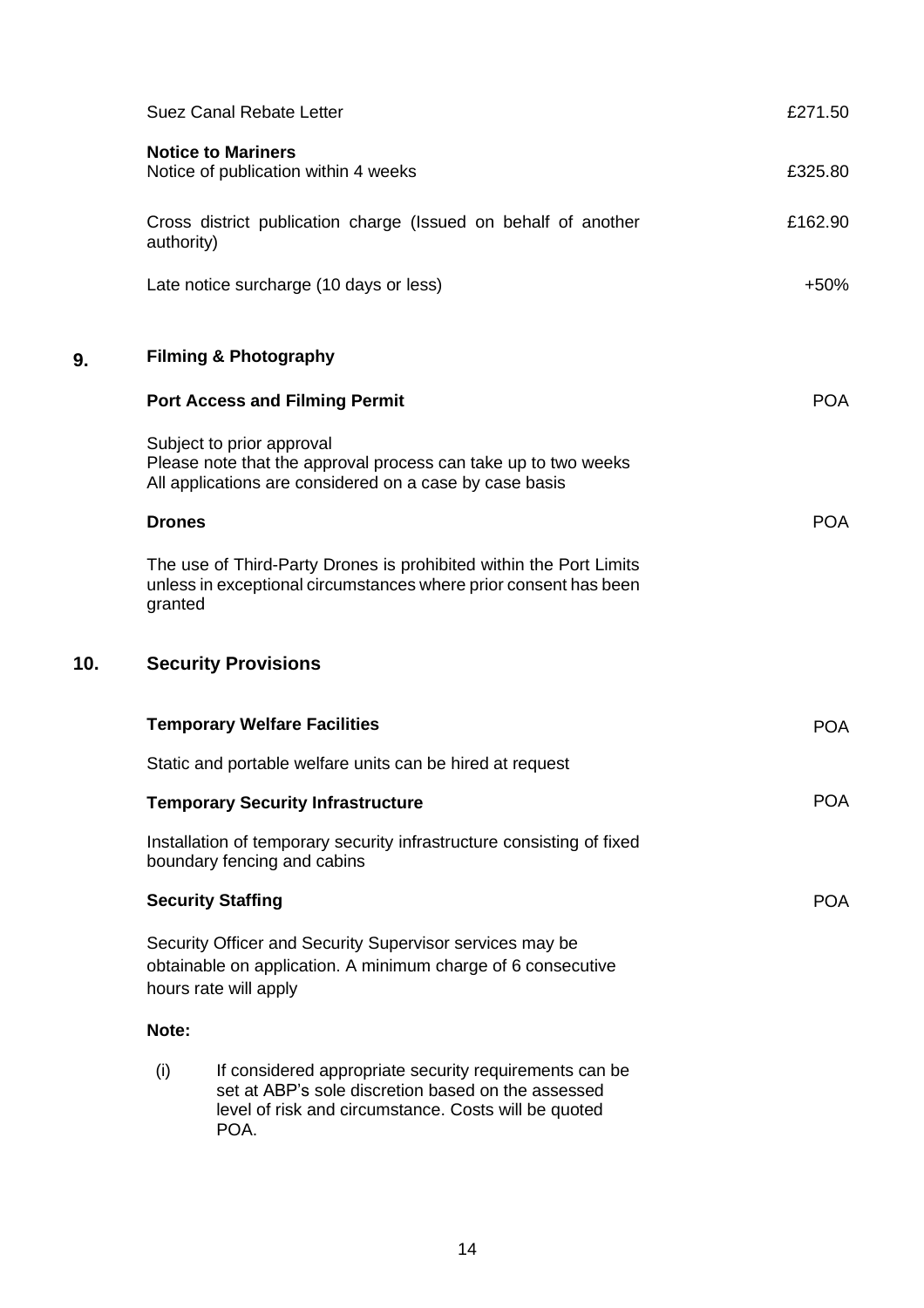<span id="page-14-0"></span>

|     |               | Suez Canal Rebate Letter                                                                                                                                                     | £271.50    |
|-----|---------------|------------------------------------------------------------------------------------------------------------------------------------------------------------------------------|------------|
|     |               | <b>Notice to Mariners</b><br>Notice of publication within 4 weeks                                                                                                            | £325.80    |
|     | authority)    | Cross district publication charge (Issued on behalf of another                                                                                                               | £162.90    |
|     |               | Late notice surcharge (10 days or less)                                                                                                                                      | $+50%$     |
| 9.  |               | <b>Filming &amp; Photography</b>                                                                                                                                             |            |
|     |               | <b>Port Access and Filming Permit</b>                                                                                                                                        | <b>POA</b> |
|     |               | Subject to prior approval<br>Please note that the approval process can take up to two weeks<br>All applications are considered on a case by case basis                       |            |
|     | <b>Drones</b> |                                                                                                                                                                              | <b>POA</b> |
|     | granted       | The use of Third-Party Drones is prohibited within the Port Limits<br>unless in exceptional circumstances where prior consent has been                                       |            |
| 10. |               | <b>Security Provisions</b>                                                                                                                                                   |            |
|     |               | <b>Temporary Welfare Facilities</b>                                                                                                                                          | <b>POA</b> |
|     |               | Static and portable welfare units can be hired at request                                                                                                                    |            |
|     |               | <b>Temporary Security Infrastructure</b>                                                                                                                                     | <b>POA</b> |
|     |               | Installation of temporary security infrastructure consisting of fixed<br>boundary fencing and cabins                                                                         |            |
|     |               | <b>Security Staffing</b>                                                                                                                                                     | <b>POA</b> |
|     |               | Security Officer and Security Supervisor services may be<br>obtainable on application. A minimum charge of 6 consecutive<br>hours rate will apply                            |            |
|     | Note:         |                                                                                                                                                                              |            |
|     | (i)           | If considered appropriate security requirements can be<br>set at ABP's sole discretion based on the assessed<br>level of risk and circumstance. Costs will be quoted<br>POA. |            |

<span id="page-14-1"></span> $10.$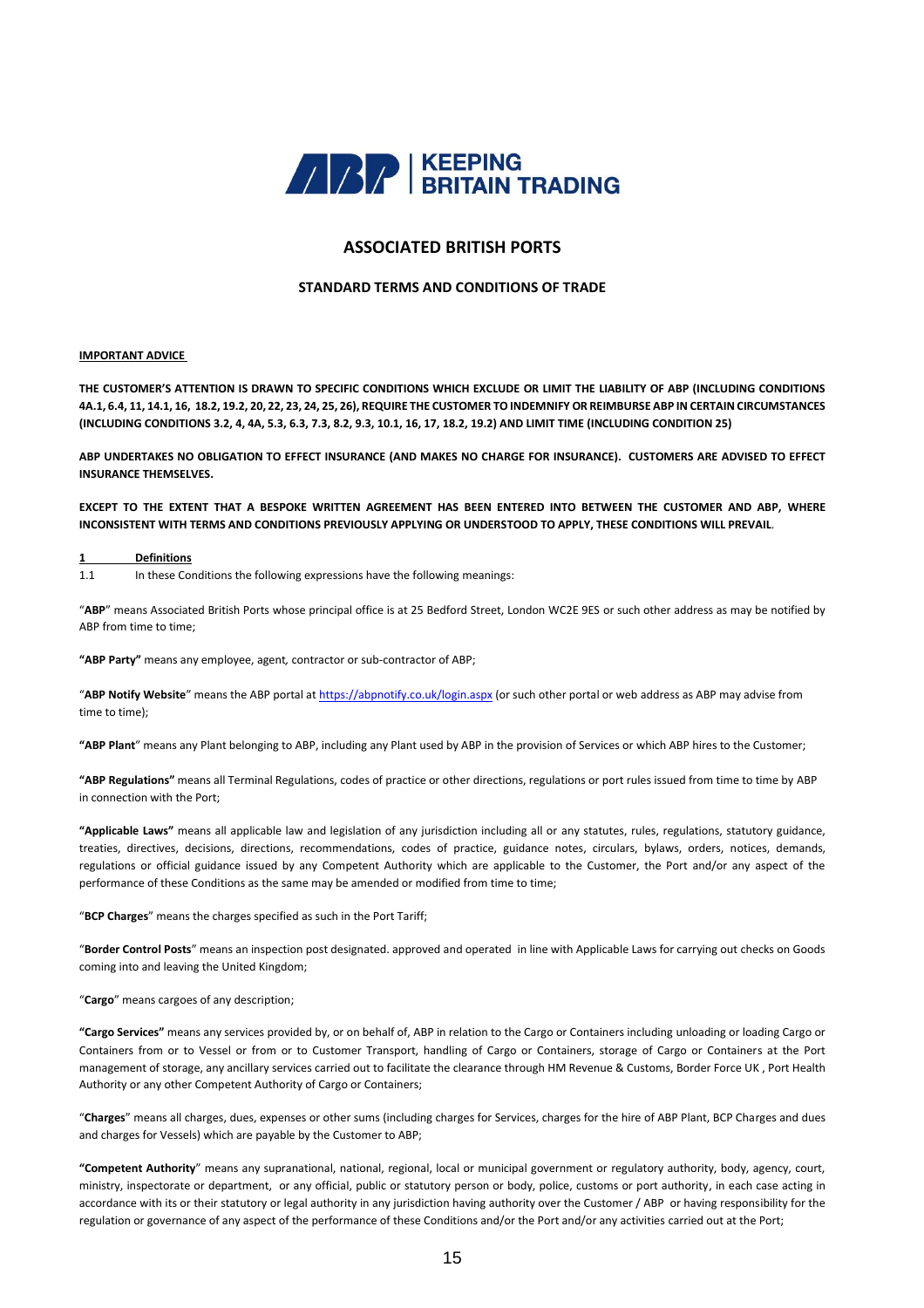

### **ASSOCIATED BRITISH PORTS**

#### **STANDARD TERMS AND CONDITIONS OF TRADE**

#### **IMPORTANT ADVICE**

**THE CUSTOMER'S ATTENTION IS DRAWN TO SPECIFIC CONDITIONS WHICH EXCLUDE OR LIMIT THE LIABILITY OF ABP (INCLUDING CONDITIONS 4A.1, 6.4, 11, 14.1, 16, 18.2, 19.2, 20, 22, 23, 24, 25, 26), REQUIRE THE CUSTOMER TO INDEMNIFY OR REIMBURSE ABP IN CERTAIN CIRCUMSTANCES (INCLUDING CONDITIONS 3.2, 4, 4A, 5.3, 6.3, 7.3, 8.2, 9.3, 10.1, 16, 17, 18.2, 19.2) AND LIMIT TIME (INCLUDING CONDITION 25)** 

**ABP UNDERTAKES NO OBLIGATION TO EFFECT INSURANCE (AND MAKES NO CHARGE FOR INSURANCE). CUSTOMERS ARE ADVISED TO EFFECT INSURANCE THEMSELVES.**

**EXCEPT TO THE EXTENT THAT A BESPOKE WRITTEN AGREEMENT HAS BEEN ENTERED INTO BETWEEN THE CUSTOMER AND ABP, WHERE INCONSISTENT WITH TERMS AND CONDITIONS PREVIOUSLY APPLYING OR UNDERSTOOD TO APPLY, THESE CONDITIONS WILL PREVAIL**.

#### **1 Definitions**

1.1 In these Conditions the following expressions have the following meanings:

"**ABP**" means Associated British Ports whose principal office is at 25 Bedford Street, London WC2E 9ES or such other address as may be notified by ABP from time to time;

**"ABP Party"** means any employee, agent*,* contractor or sub-contractor of ABP;

"**ABP Notify Website**" means the ABP portal at <https://abpnotify.co.uk/login.aspx> (or such other portal or web address as ABP may advise from time to time);

**"ABP Plant**" means any Plant belonging to ABP, including any Plant used by ABP in the provision of Services or which ABP hires to the Customer;

**"ABP Regulations"** means all Terminal Regulations, codes of practice or other directions, regulations or port rules issued from time to time by ABP in connection with the Port;

**"Applicable Laws"** means all applicable law and legislation of any jurisdiction including all or any statutes, rules, regulations, statutory guidance, treaties, directives, decisions, directions, recommendations, codes of practice, guidance notes, circulars, bylaws, orders, notices, demands, regulations or official guidance issued by any Competent Authority which are applicable to the Customer, the Port and/or any aspect of the performance of these Conditions as the same may be amended or modified from time to time;

"**BCP Charges**" means the charges specified as such in the Port Tariff;

"**Border Control Posts**" means an inspection post designated. approved and operated in line with Applicable Laws for carrying out checks on Goods coming into and leaving the United Kingdom;

#### "**Cargo**" means cargoes of any description;

**"Cargo Services"** means any services provided by, or on behalf of, ABP in relation to the Cargo or Containers including unloading or loading Cargo or Containers from or to Vessel or from or to Customer Transport, handling of Cargo or Containers, storage of Cargo or Containers at the Port management of storage, any ancillary services carried out to facilitate the clearance through HM Revenue & Customs, Border Force UK , Port Health Authority or any other Competent Authority of Cargo or Containers;

"**Charges**" means all charges, dues, expenses or other sums (including charges for Services, charges for the hire of ABP Plant, BCP Charges and dues and charges for Vessels) which are payable by the Customer to ABP;

**"Competent Authority**" means any supranational, national, regional, local or municipal government or regulatory authority, body, agency, court, ministry, inspectorate or department, or any official, public or statutory person or body, police, customs or port authority, in each case acting in accordance with its or their statutory or legal authority in any jurisdiction having authority over the Customer / ABP or having responsibility for the regulation or governance of any aspect of the performance of these Conditions and/or the Port and/or any activities carried out at the Port;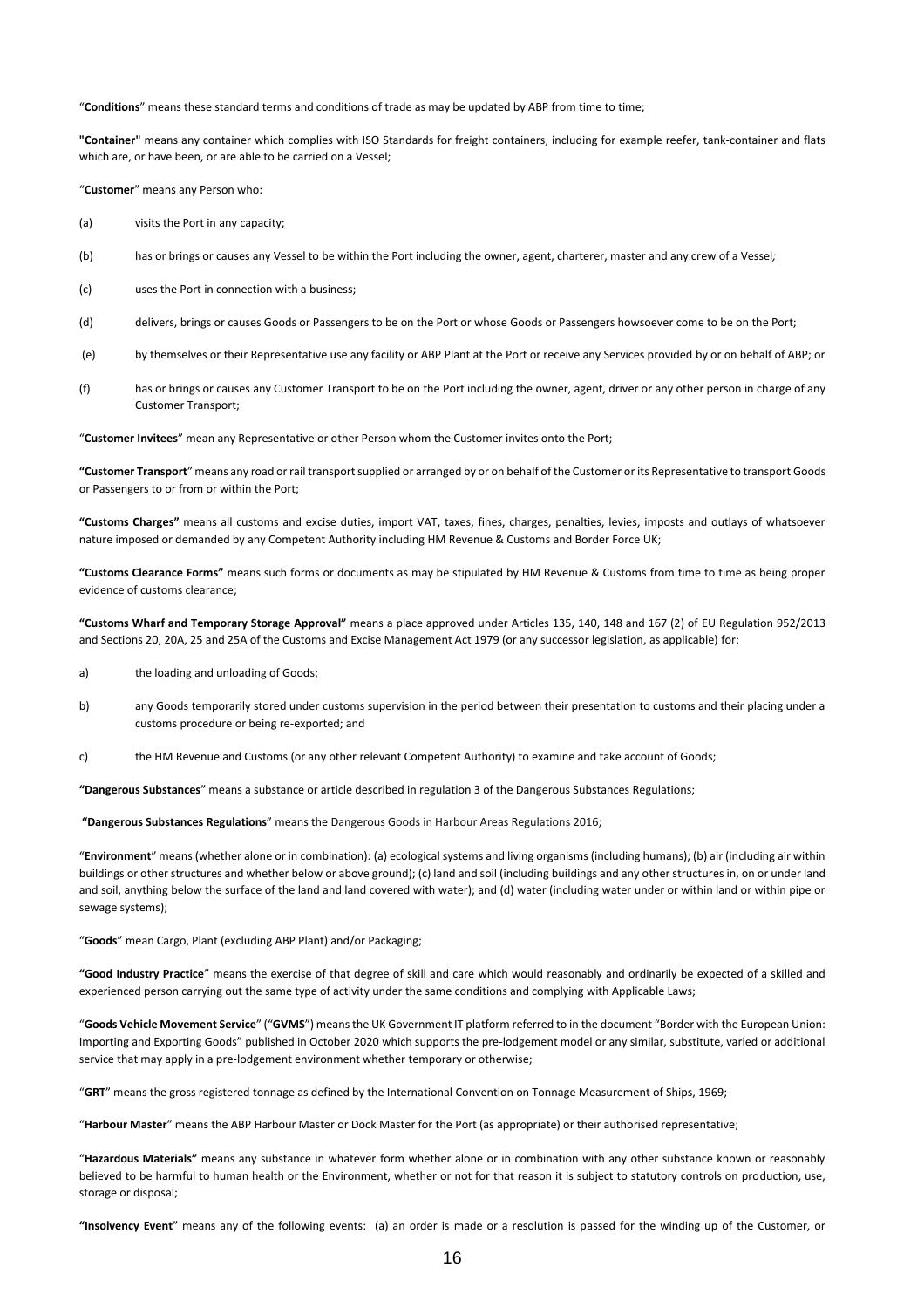"**Conditions**" means these standard terms and conditions of trade as may be updated by ABP from time to time;

**"Container"** means any container which complies with ISO Standards for freight containers, including for example reefer, tank-container and flats which are, or have been, or are able to be carried on a Vessel;

"**Customer**" means any Person who:

(a) visits the Port in any capacity;

- (b) has or brings or causes any Vessel to be within the Port including the owner, agent, charterer, master and any crew of a Vessel*;*
- (c) uses the Port in connection with a business;
- (d) delivers, brings or causes Goods or Passengers to be on the Port or whose Goods or Passengers howsoever come to be on the Port;
- (e) by themselves or their Representative use any facility or ABP Plant at the Port or receive any Services provided by or on behalf of ABP; or
- (f) has or brings or causes any Customer Transport to be on the Port including the owner, agent, driver or any other person in charge of any Customer Transport;

"**Customer Invitees**" mean any Representative or other Person whom the Customer invites onto the Port;

**"Customer Transport**" means any road or rail transport supplied or arranged by or on behalf of the Customer or its Representative to transport Goods or Passengers to or from or within the Port;

**"Customs Charges"** means all customs and excise duties, import VAT, taxes, fines, charges, penalties, levies, imposts and outlays of whatsoever nature imposed or demanded by any Competent Authority including HM Revenue & Customs and Border Force UK;

**"Customs Clearance Forms"** means such forms or documents as may be stipulated by HM Revenue & Customs from time to time as being proper evidence of customs clearance;

**"Customs Wharf and Temporary Storage Approval"** means a place approved under Articles 135, 140, 148 and 167 (2) of EU Regulation 952/2013 and Sections 20, 20A, 25 and 25A of the Customs and Excise Management Act 1979 (or any successor legislation, as applicable) for:

- a) the loading and unloading of Goods;
- b) any Goods temporarily stored under customs supervision in the period between their presentation to customs and their placing under a customs procedure or being re-exported; and
- c) the HM Revenue and Customs (or any other relevant Competent Authority) to examine and take account of Goods;

**"Dangerous Substances**" means a substance or article described in regulation 3 of the Dangerous Substances Regulations;

**"Dangerous Substances Regulations**" means the Dangerous Goods in Harbour Areas Regulations 2016;

"**Environment**" means (whether alone or in combination): (a) ecological systems and living organisms (including humans); (b) air (including air within buildings or other structures and whether below or above ground); (c) land and soil (including buildings and any other structures in, on or under land and soil, anything below the surface of the land and land covered with water); and (d) water (including water under or within land or within pipe or sewage systems);

"**Goods**" mean Cargo, Plant (excluding ABP Plant) and/or Packaging;

**"Good Industry Practice**" means the exercise of that degree of skill and care which would reasonably and ordinarily be expected of a skilled and experienced person carrying out the same type of activity under the same conditions and complying with Applicable Laws;

"**Goods Vehicle Movement Service**" ("**GVMS**") means the UK Government IT platform referred to in the document "Border with the European Union: Importing and Exporting Goods" published in October 2020 which supports the pre-lodgement model or any similar, substitute, varied or additional service that may apply in a pre-lodgement environment whether temporary or otherwise;

"**GRT**" means the gross registered tonnage as defined by the International Convention on Tonnage Measurement of Ships, 1969;

"**Harbour Master**" means the ABP Harbour Master or Dock Master for the Port (as appropriate) or their authorised representative;

"**Hazardous Materials"** means any substance in whatever form whether alone or in combination with any other substance known or reasonably believed to be harmful to human health or the Environment, whether or not for that reason it is subject to statutory controls on production, use, storage or disposal;

**"Insolvency Event**" means any of the following events: (a) an order is made or a resolution is passed for the winding up of the Customer, or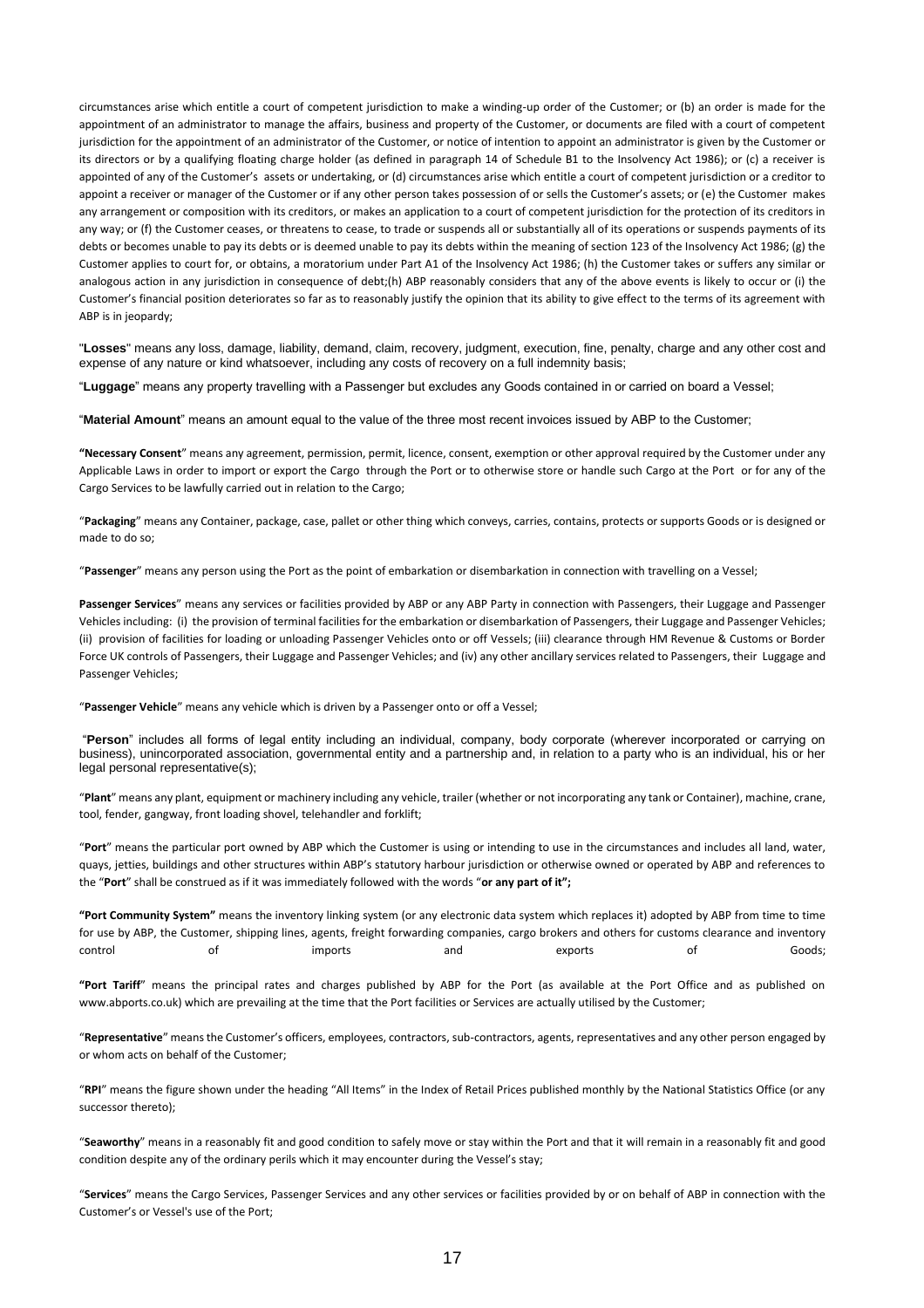circumstances arise which entitle a court of competent jurisdiction to make a winding-up order of the Customer; or (b) an order is made for the appointment of an administrator to manage the affairs, business and property of the Customer, or documents are filed with a court of competent jurisdiction for the appointment of an administrator of the Customer, or notice of intention to appoint an administrator is given by the Customer or its directors or by a qualifying floating charge holder (as defined in paragraph 14 of Schedule B1 to the Insolvency Act 1986); or (c) a receiver is appointed of any of the Customer's assets or undertaking, or (d) circumstances arise which entitle a court of competent jurisdiction or a creditor to appoint a receiver or manager of the Customer or if any other person takes possession of or sells the Customer's assets; or (e) the Customer makes any arrangement or composition with its creditors, or makes an application to a court of competent jurisdiction for the protection of its creditors in any way; or (f) the Customer ceases, or threatens to cease, to trade or suspends all or substantially all of its operations or suspends payments of its debts or becomes unable to pay its debts or is deemed unable to pay its debts within the meaning of section 123 of the Insolvency Act 1986; (g) the Customer applies to court for, or obtains, a moratorium under Part A1 of the Insolvency Act 1986; (h) the Customer takes or suffers any similar or analogous action in any jurisdiction in consequence of debt;(h) ABP reasonably considers that any of the above events is likely to occur or (i) the Customer's financial position deteriorates so far as to reasonably justify the opinion that its ability to give effect to the terms of its agreement with ABP is in jeopardy;

"**Losses**" means any loss, damage, liability, demand, claim, recovery, judgment, execution, fine, penalty, charge and any other cost and expense of any nature or kind whatsoever, including any costs of recovery on a full indemnity basis;

"**Luggage**" means any property travelling with a Passenger but excludes any Goods contained in or carried on board a Vessel;

"**Material Amount**" means an amount equal to the value of the three most recent invoices issued by ABP to the Customer;

**"Necessary Consent**" means any agreement, permission, permit, licence, consent, exemption or other approval required by the Customer under any Applicable Laws in order to import or export the Cargo through the Port or to otherwise store or handle such Cargo at the Port or for any of the Cargo Services to be lawfully carried out in relation to the Cargo;

"**Packaging**" means any Container, package, case, pallet or other thing which conveys, carries, contains, protects or supports Goods or is designed or made to do so;

"**Passenger**" means any person using the Port as the point of embarkation or disembarkation in connection with travelling on a Vessel;

**Passenger Services**" means any services or facilities provided by ABP or any ABP Party in connection with Passengers, their Luggage and Passenger Vehicles including: (i) the provision of terminal facilities for the embarkation or disembarkation of Passengers, their Luggage and Passenger Vehicles; (ii) provision of facilities for loading or unloading Passenger Vehicles onto or off Vessels; (iii) clearance through HM Revenue & Customs or Border Force UK controls of Passengers, their Luggage and Passenger Vehicles; and (iv) any other ancillary services related to Passengers, their Luggage and Passenger Vehicles;

"**Passenger Vehicle**" means any vehicle which is driven by a Passenger onto or off a Vessel;

"**Person**" includes all forms of legal entity including an individual, company, body corporate (wherever incorporated or carrying on business), unincorporated association, governmental entity and a partnership and, in relation to a party who is an individual, his or her legal personal representative(s);

"**Plant**" means any plant, equipment or machinery including any vehicle, trailer (whether or not incorporating any tank or Container), machine, crane, tool, fender, gangway, front loading shovel, telehandler and forklift;

"**Port**" means the particular port owned by ABP which the Customer is using or intending to use in the circumstances and includes all land, water, quays, jetties, buildings and other structures within ABP's statutory harbour jurisdiction or otherwise owned or operated by ABP and references to the "**Port**" shall be construed as if it was immediately followed with the words "**or any part of it";**

**"Port Community System"** means the inventory linking system (or any electronic data system which replaces it) adopted by ABP from time to time for use by ABP, the Customer, shipping lines, agents, freight forwarding companies, cargo brokers and others for customs clearance and inventory control of imports and exports of Goods;

**"Port Tariff**" means the principal rates and charges published by ABP for the Port (as available at the Port Office and as published on www.abports.co.uk) which are prevailing at the time that the Port facilities or Services are actually utilised by the Customer;

"**Representative**" means the Customer's officers, employees, contractors, sub-contractors, agents, representatives and any other person engaged by or whom acts on behalf of the Customer;

"**RPI**" means the figure shown under the heading "All Items" in the Index of Retail Prices published monthly by the National Statistics Office (or any successor thereto);

"**Seaworthy**" means in a reasonably fit and good condition to safely move or stay within the Port and that it will remain in a reasonably fit and good condition despite any of the ordinary perils which it may encounter during the Vessel's stay;

"**Services**" means the Cargo Services, Passenger Services and any other services or facilities provided by or on behalf of ABP in connection with the Customer's or Vessel's use of the Port;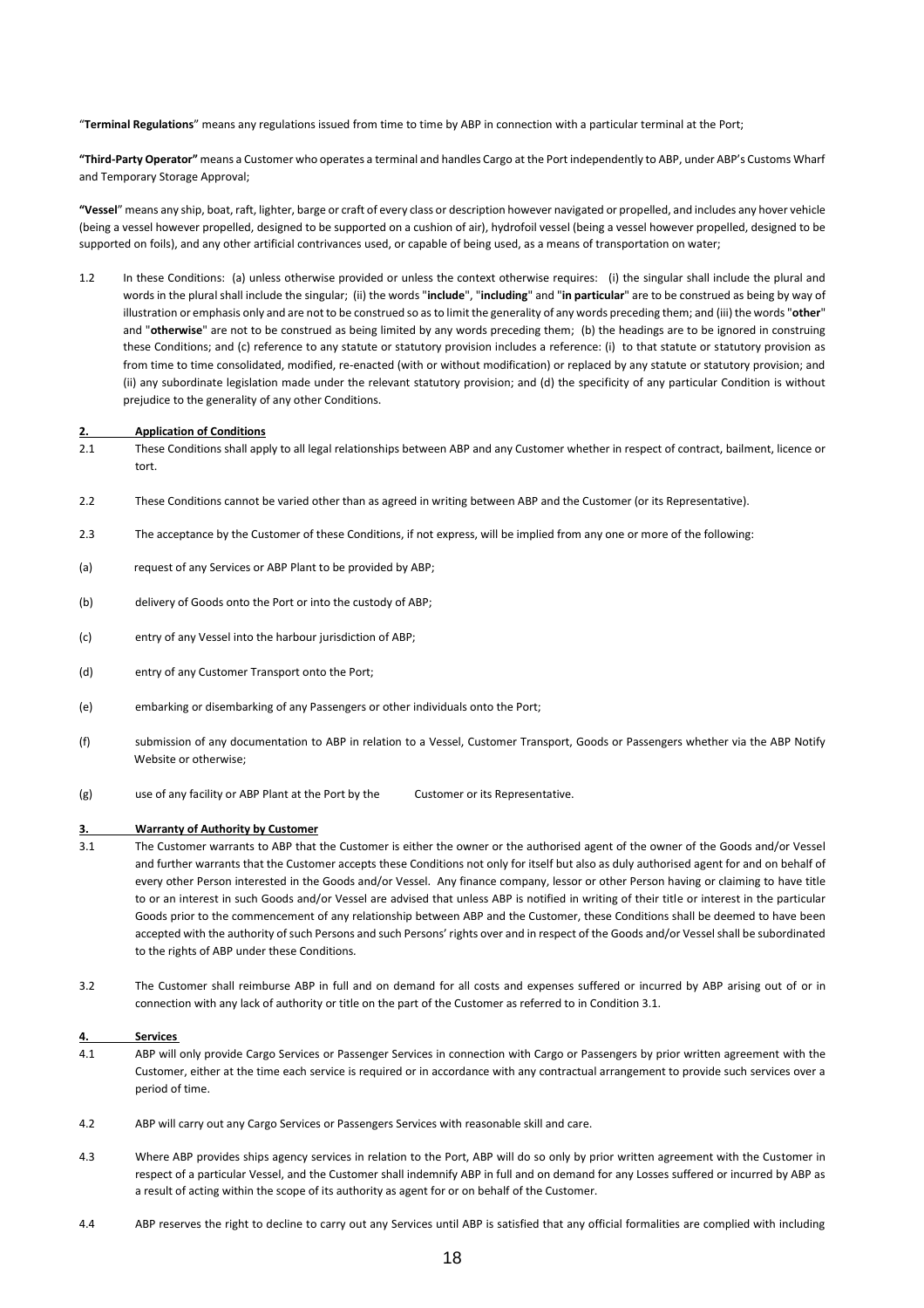"**Terminal Regulations**" means any regulations issued from time to time by ABP in connection with a particular terminal at the Port;

**"Third-Party Operator"** means a Customer who operates a terminal and handles Cargo at the Port independently to ABP, under ABP's Customs Wharf and Temporary Storage Approval;

**"Vessel**" means any ship, boat, raft, lighter, barge or craft of every class or description however navigated or propelled, and includes any hover vehicle (being a vessel however propelled, designed to be supported on a cushion of air), hydrofoil vessel (being a vessel however propelled, designed to be supported on foils), and any other artificial contrivances used, or capable of being used, as a means of transportation on water;

1.2 In these Conditions: (a) unless otherwise provided or unless the context otherwise requires: (i) the singular shall include the plural and words in the plural shall include the singular; (ii) the words "**include**", "**including**" and "**in particular**" are to be construed as being by way of illustration or emphasis only and are not to be construed so as to limit the generality of any words preceding them; and (iii) the words "**other**" and "**otherwise**" are not to be construed as being limited by any words preceding them; (b) the headings are to be ignored in construing these Conditions; and (c) reference to any statute or statutory provision includes a reference: (i) to that statute or statutory provision as from time to time consolidated, modified, re-enacted (with or without modification) or replaced by any statute or statutory provision; and (ii) any subordinate legislation made under the relevant statutory provision; and (d) the specificity of any particular Condition is without prejudice to the generality of any other Conditions.

#### **2. Application of Conditions**

- 2.1 These Conditions shall apply to all legal relationships between ABP and any Customer whether in respect of contract, bailment, licence or tort.
- 2.2 These Conditions cannot be varied other than as agreed in writing between ABP and the Customer (or its Representative).
- 2.3 The acceptance by the Customer of these Conditions, if not express, will be implied from any one or more of the following:
- (a) request of any Services or ABP Plant to be provided by ABP;
- (b) delivery of Goods onto the Port or into the custody of ABP;
- (c) entry of any Vessel into the harbour jurisdiction of ABP;
- (d) entry of any Customer Transport onto the Port;
- (e) embarking or disembarking of any Passengers or other individuals onto the Port;
- (f) submission of any documentation to ABP in relation to a Vessel, Customer Transport, Goods or Passengers whether via the ABP Notify Website or otherwise;
- (g) use of any facility or ABP Plant at the Port by the Customer or its Representative.

#### **3. Warranty of Authority by Customer**

- 3.1 The Customer warrants to ABP that the Customer is either the owner or the authorised agent of the owner of the Goods and/or Vessel and further warrants that the Customer accepts these Conditions not only for itself but also as duly authorised agent for and on behalf of every other Person interested in the Goods and/or Vessel. Any finance company, lessor or other Person having or claiming to have title to or an interest in such Goods and/or Vessel are advised that unless ABP is notified in writing of their title or interest in the particular Goods prior to the commencement of any relationship between ABP and the Customer, these Conditions shall be deemed to have been accepted with the authority of such Persons and such Persons' rights over and in respect of the Goods and/or Vessel shall be subordinated to the rights of ABP under these Conditions*.*
- 3.2 The Customer shall reimburse ABP in full and on demand for all costs and expenses suffered or incurred by ABP arising out of or in connection with any lack of authority or title on the part of the Customer as referred to in Condition 3.1.

#### **4. Services**

- 4.1 ABP will only provide Cargo Services or Passenger Services in connection with Cargo or Passengers by prior written agreement with the Customer, either at the time each service is required or in accordance with any contractual arrangement to provide such services over a period of time.
- 4.2 ABP will carry out any Cargo Services or Passengers Services with reasonable skill and care.
- 4.3 Where ABP provides ships agency services in relation to the Port, ABP will do so only by prior written agreement with the Customer in respect of a particular Vessel, and the Customer shall indemnify ABP in full and on demand for any Losses suffered or incurred by ABP as a result of acting within the scope of its authority as agent for or on behalf of the Customer.
- 4.4 ABP reserves the right to decline to carry out any Services until ABP is satisfied that any official formalities are complied with including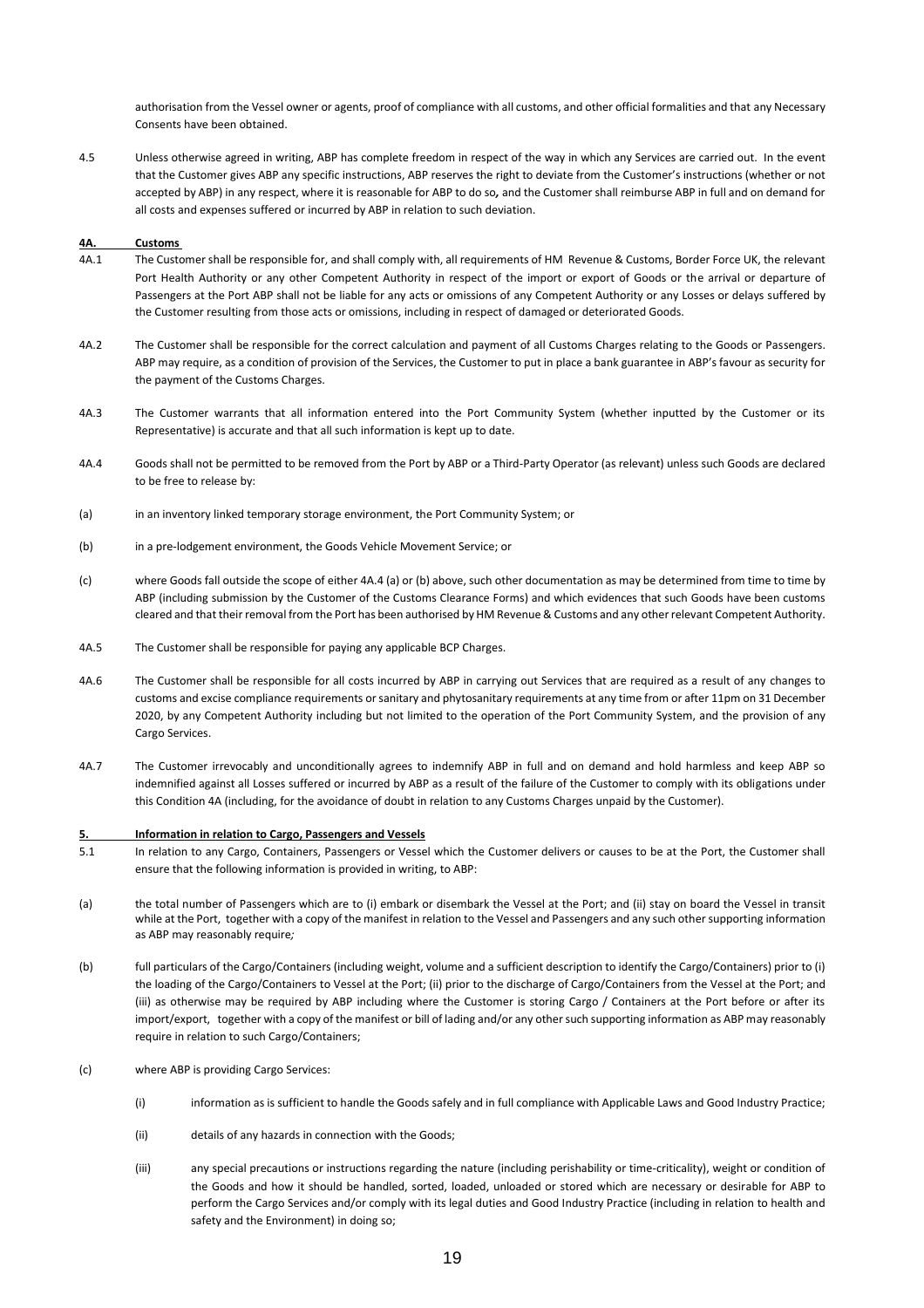authorisation from the Vessel owner or agents, proof of compliance with all customs, and other official formalities and that any Necessary Consents have been obtained.

4.5 Unless otherwise agreed in writing, ABP has complete freedom in respect of the way in which any Services are carried out. In the event that the Customer gives ABP any specific instructions, ABP reserves the right to deviate from the Customer's instructions (whether or not accepted by ABP) in any respect, where it is reasonable for ABP to do so*,* and the Customer shall reimburse ABP in full and on demand for all costs and expenses suffered or incurred by ABP in relation to such deviation.

#### **4A. Customs**

- 4A.1 The Customer shall be responsible for, and shall comply with, all requirements of HM Revenue & Customs, Border Force UK, the relevant Port Health Authority or any other Competent Authority in respect of the import or export of Goods or the arrival or departure of Passengers at the Port ABP shall not be liable for any acts or omissions of any Competent Authority or any Losses or delays suffered by the Customer resulting from those acts or omissions, including in respect of damaged or deteriorated Goods.
- 4A.2 The Customer shall be responsible for the correct calculation and payment of all Customs Charges relating to the Goods or Passengers. ABP may require, as a condition of provision of the Services, the Customer to put in place a bank guarantee in ABP's favour as security for the payment of the Customs Charges.
- 4A.3 The Customer warrants that all information entered into the Port Community System (whether inputted by the Customer or its Representative) is accurate and that all such information is kept up to date.
- 4A.4 Goods shall not be permitted to be removed from the Port by ABP or a Third-Party Operator (as relevant) unless such Goods are declared to be free to release by:
- (a) in an inventory linked temporary storage environment, the Port Community System; or
- (b) in a pre-lodgement environment, the Goods Vehicle Movement Service; or
- (c) where Goods fall outside the scope of either 4A.4 (a) or (b) above, such other documentation as may be determined from time to time by ABP (including submission by the Customer of the Customs Clearance Forms) and which evidences that such Goods have been customs cleared and that their removal from the Port has been authorised by HM Revenue & Customs and any other relevant Competent Authority.
- 4A.5 The Customer shall be responsible for paying any applicable BCP Charges.
- 4A.6 The Customer shall be responsible for all costs incurred by ABP in carrying out Services that are required as a result of any changes to customs and excise compliance requirements or sanitary and phytosanitary requirements at any time from or after 11pm on 31 December 2020, by any Competent Authority including but not limited to the operation of the Port Community System, and the provision of any Cargo Services.
- 4A.7 The Customer irrevocably and unconditionally agrees to indemnify ABP in full and on demand and hold harmless and keep ABP so indemnified against all Losses suffered or incurred by ABP as a result of the failure of the Customer to comply with its obligations under this Condition 4A (including, for the avoidance of doubt in relation to any Customs Charges unpaid by the Customer).

#### **5. Information in relation to Cargo, Passengers and Vessels**

- 5.1 In relation to any Cargo, Containers, Passengers or Vessel which the Customer delivers or causes to be at the Port, the Customer shall ensure that the following information is provided in writing, to ABP:
- (a) the total number of Passengers which are to (i) embark or disembark the Vessel at the Port; and (ii) stay on board the Vessel in transit while at the Port, together with a copy of the manifest in relation to the Vessel and Passengers and any such other supporting information as ABP may reasonably require*;*
- (b) full particulars of the Cargo/Containers (including weight, volume and a sufficient description to identify the Cargo/Containers) prior to (i) the loading of the Cargo/Containers to Vessel at the Port; (ii) prior to the discharge of Cargo/Containers from the Vessel at the Port; and (iii) as otherwise may be required by ABP including where the Customer is storing Cargo / Containers at the Port before or after its import/export, together with a copy of the manifest or bill of lading and/or any other such supporting information as ABP may reasonably require in relation to such Cargo/Containers;
- (c) where ABP is providing Cargo Services:
	- (i) information as is sufficient to handle the Goods safely and in full compliance with Applicable Laws and Good Industry Practice;
	- (ii) details of any hazards in connection with the Goods;
	- (iii) any special precautions or instructions regarding the nature (including perishability or time-criticality), weight or condition of the Goods and how it should be handled, sorted, loaded, unloaded or stored which are necessary or desirable for ABP to perform the Cargo Services and/or comply with its legal duties and Good Industry Practice (including in relation to health and safety and the Environment) in doing so;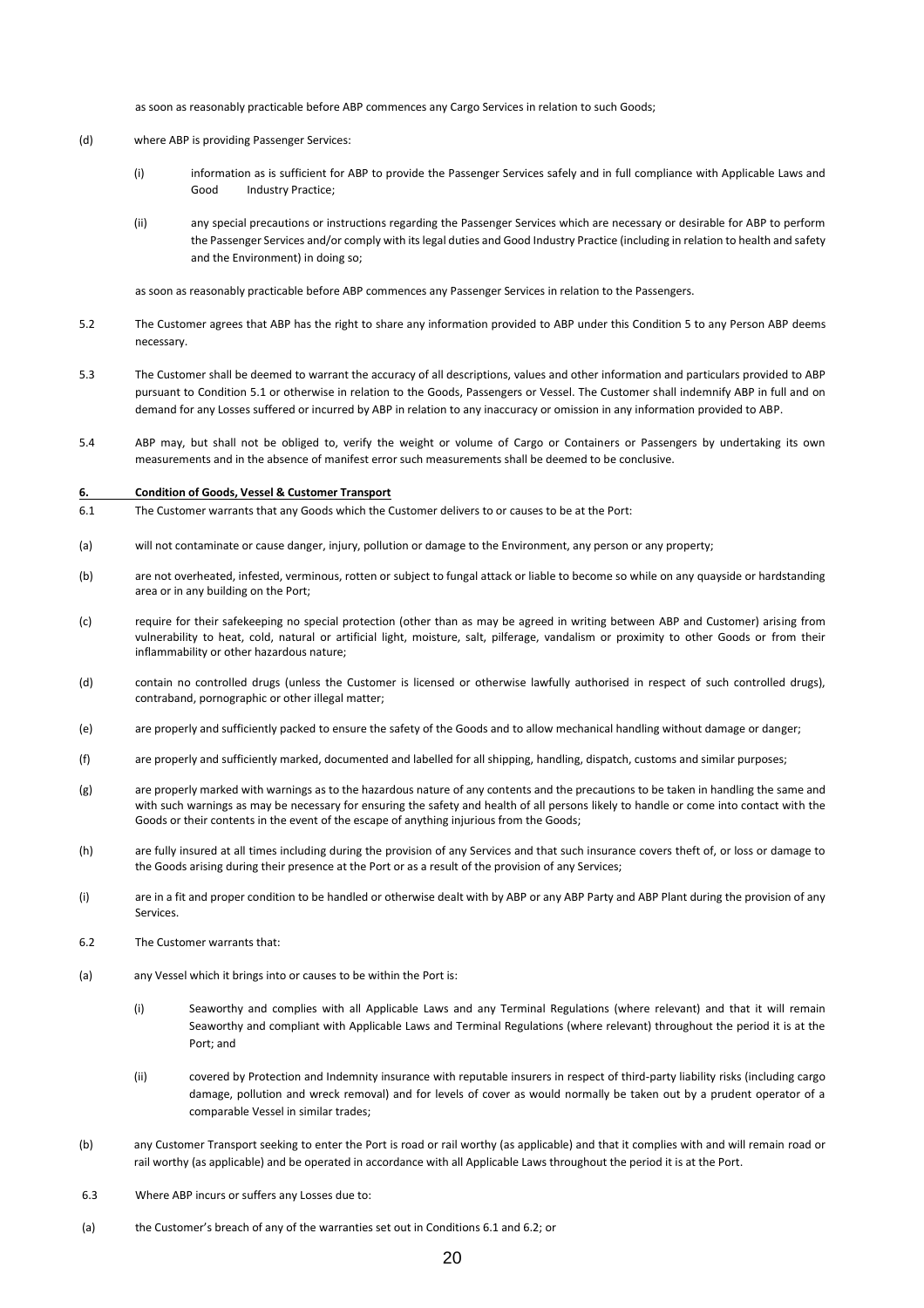as soon as reasonably practicable before ABP commences any Cargo Services in relation to such Goods;

- (d) where ABP is providing Passenger Services:
	- (i) information as is sufficient for ABP to provide the Passenger Services safely and in full compliance with Applicable Laws and Good Industry Practice;
	- (ii) any special precautions or instructions regarding the Passenger Services which are necessary or desirable for ABP to perform the Passenger Services and/or comply with its legal duties and Good Industry Practice (including in relation to health and safety and the Environment) in doing so;

as soon as reasonably practicable before ABP commences any Passenger Services in relation to the Passengers.

- 5.2 The Customer agrees that ABP has the right to share any information provided to ABP under this Condition 5 to any Person ABP deems necessary.
- 5.3 The Customer shall be deemed to warrant the accuracy of all descriptions, values and other information and particulars provided to ABP pursuant to Condition 5.1 or otherwise in relation to the Goods, Passengers or Vessel. The Customer shall indemnify ABP in full and on demand for any Losses suffered or incurred by ABP in relation to any inaccuracy or omission in any information provided to ABP.
- 5.4 ABP may, but shall not be obliged to, verify the weight or volume of Cargo or Containers or Passengers by undertaking its own measurements and in the absence of manifest error such measurements shall be deemed to be conclusive.

#### **6. Condition of Goods, Vessel & Customer Transport**

- 6.1 The Customer warrants that any Goods which the Customer delivers to or causes to be at the Port:
- (a) will not contaminate or cause danger, injury, pollution or damage to the Environment, any person or any property;
- (b) are not overheated, infested, verminous, rotten or subject to fungal attack or liable to become so while on any quayside or hardstanding area or in any building on the Port;
- (c) require for their safekeeping no special protection (other than as may be agreed in writing between ABP and Customer) arising from vulnerability to heat, cold, natural or artificial light, moisture, salt, pilferage, vandalism or proximity to other Goods or from their inflammability or other hazardous nature;
- (d) contain no controlled drugs (unless the Customer is licensed or otherwise lawfully authorised in respect of such controlled drugs), contraband, pornographic or other illegal matter;
- (e) are properly and sufficiently packed to ensure the safety of the Goods and to allow mechanical handling without damage or danger;
- (f) are properly and sufficiently marked, documented and labelled for all shipping, handling, dispatch, customs and similar purposes;
- (g) are properly marked with warnings as to the hazardous nature of any contents and the precautions to be taken in handling the same and with such warnings as may be necessary for ensuring the safety and health of all persons likely to handle or come into contact with the Goods or their contents in the event of the escape of anything injurious from the Goods;
- (h) are fully insured at all times including during the provision of any Services and that such insurance covers theft of, or loss or damage to the Goods arising during their presence at the Port or as a result of the provision of any Services;
- (i) are in a fit and proper condition to be handled or otherwise dealt with by ABP or any ABP Party and ABP Plant during the provision of any Services.
- 6.2 The Customer warrants that:
- (a) any Vessel which it brings into or causes to be within the Port is:
	- (i) Seaworthy and complies with all Applicable Laws and any Terminal Regulations (where relevant) and that it will remain Seaworthy and compliant with Applicable Laws and Terminal Regulations (where relevant) throughout the period it is at the Port; and
	- (ii) covered by Protection and Indemnity insurance with reputable insurers in respect of third-party liability risks (including cargo damage, pollution and wreck removal) and for levels of cover as would normally be taken out by a prudent operator of a comparable Vessel in similar trades;
- (b) any Customer Transport seeking to enter the Port is road or rail worthy (as applicable) and that it complies with and will remain road or rail worthy (as applicable) and be operated in accordance with all Applicable Laws throughout the period it is at the Port.
- 6.3 Where ABP incurs or suffers any Losses due to:
- (a) the Customer's breach of any of the warranties set out in Conditions 6.1 and 6.2; or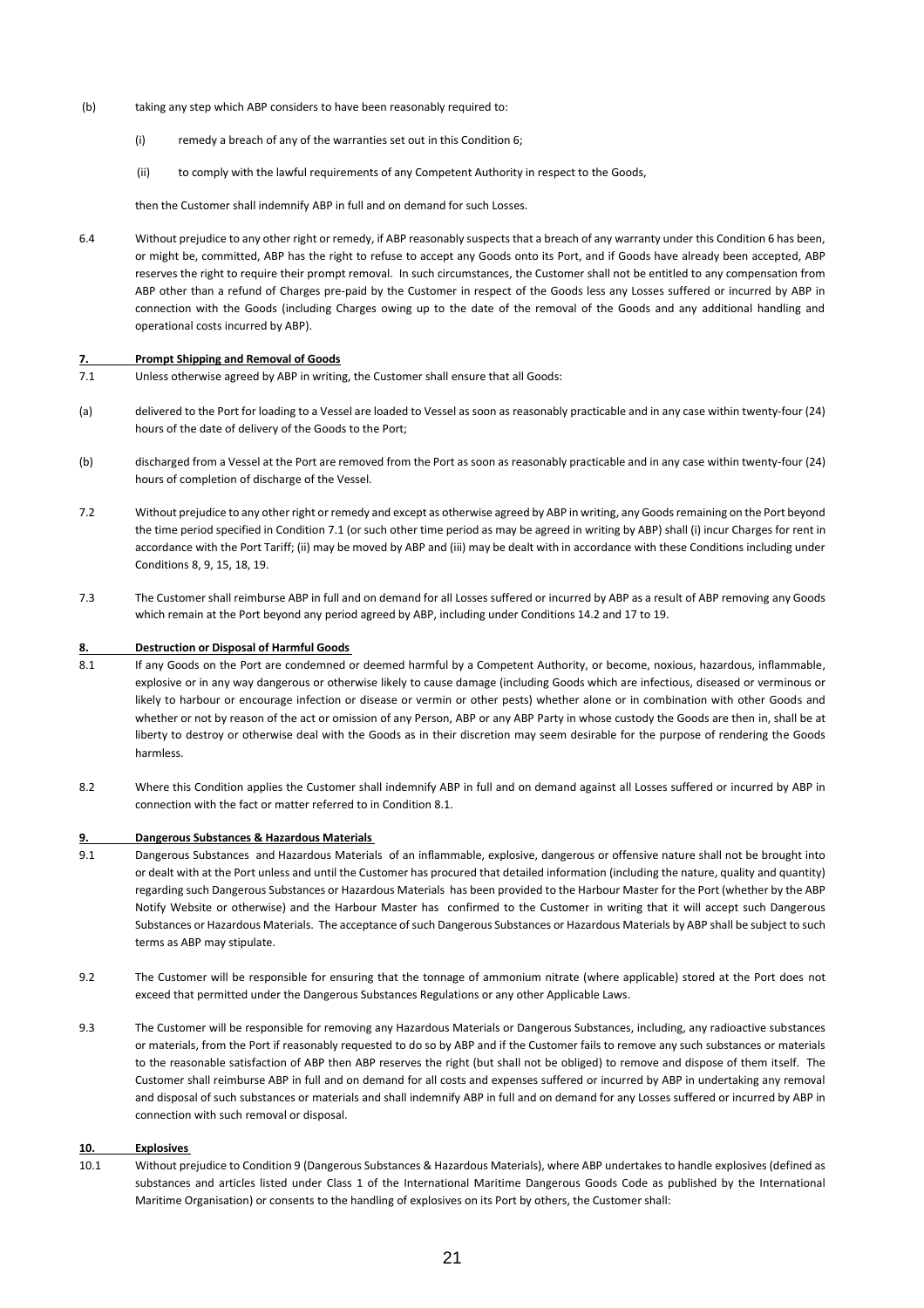- (b) taking any step which ABP considers to have been reasonably required to:
	- (i) remedy a breach of any of the warranties set out in this Condition 6;
	- (ii) to comply with the lawful requirements of any Competent Authority in respect to the Goods,

then the Customer shall indemnify ABP in full and on demand for such Losses.

6.4 Without prejudice to any other right or remedy, if ABP reasonably suspects that a breach of any warranty under this Condition 6 has been, or might be, committed, ABP has the right to refuse to accept any Goods onto its Port, and if Goods have already been accepted, ABP reserves the right to require their prompt removal. In such circumstances, the Customer shall not be entitled to any compensation from ABP other than a refund of Charges pre-paid by the Customer in respect of the Goods less any Losses suffered or incurred by ABP in connection with the Goods (including Charges owing up to the date of the removal of the Goods and any additional handling and operational costs incurred by ABP).

#### **7. Prompt Shipping and Removal of Goods**

- 7.1 Unless otherwise agreed by ABP in writing, the Customer shall ensure that all Goods:
- (a) delivered to the Port for loading to a Vessel are loaded to Vessel as soon as reasonably practicable and in any case within twenty-four (24) hours of the date of delivery of the Goods to the Port;
- (b) discharged from a Vessel at the Port are removed from the Port as soon as reasonably practicable and in any case within twenty-four (24) hours of completion of discharge of the Vessel.
- 7.2 Without prejudice to any other right or remedy and except as otherwise agreed by ABP in writing, any Goods remaining on the Port beyond the time period specified in Condition 7.1 (or such other time period as may be agreed in writing by ABP) shall (i) incur Charges for rent in accordance with the Port Tariff; (ii) may be moved by ABP and (iii) may be dealt with in accordance with these Conditions including under Conditions 8, 9, 15, 18, 19.
- 7.3 The Customer shall reimburse ABP in full and on demand for all Losses suffered or incurred by ABP as a result of ABP removing any Goods which remain at the Port beyond any period agreed by ABP, including under Conditions 14.2 and 17 to 19.

#### **8. Destruction or Disposal of Harmful Goods**

- 8.1 If any Goods on the Port are condemned or deemed harmful by a Competent Authority, or become, noxious, hazardous, inflammable, explosive or in any way dangerous or otherwise likely to cause damage (including Goods which are infectious, diseased or verminous or likely to harbour or encourage infection or disease or vermin or other pests) whether alone or in combination with other Goods and whether or not by reason of the act or omission of any Person, ABP or any ABP Party in whose custody the Goods are then in, shall be at liberty to destroy or otherwise deal with the Goods as in their discretion may seem desirable for the purpose of rendering the Goods harmless.
- 8.2 Where this Condition applies the Customer shall indemnify ABP in full and on demand against all Losses suffered or incurred by ABP in connection with the fact or matter referred to in Condition 8.1.

#### **9. Dangerous Substances & Hazardous Materials**

- 9.1 Dangerous Substances and Hazardous Materials of an inflammable, explosive, dangerous or offensive nature shall not be brought into or dealt with at the Port unless and until the Customer has procured that detailed information (including the nature, quality and quantity) regarding such Dangerous Substances or Hazardous Materials has been provided to the Harbour Master for the Port (whether by the ABP Notify Website or otherwise) and the Harbour Master has confirmed to the Customer in writing that it will accept such Dangerous Substances or Hazardous Materials. The acceptance of such Dangerous Substances or Hazardous Materials by ABP shall be subject to such terms as ABP may stipulate.
- 9.2 The Customer will be responsible for ensuring that the tonnage of ammonium nitrate (where applicable) stored at the Port does not exceed that permitted under the Dangerous Substances Regulations or any other Applicable Laws.
- 9.3 The Customer will be responsible for removing any Hazardous Materials or Dangerous Substances, including, any radioactive substances or materials, from the Port if reasonably requested to do so by ABP and if the Customer fails to remove any such substances or materials to the reasonable satisfaction of ABP then ABP reserves the right (but shall not be obliged) to remove and dispose of them itself. The Customer shall reimburse ABP in full and on demand for all costs and expenses suffered or incurred by ABP in undertaking any removal and disposal of such substances or materials and shall indemnify ABP in full and on demand for any Losses suffered or incurred by ABP in connection with such removal or disposal.

#### **10. Explosives**

10.1 Without prejudice to Condition 9 (Dangerous Substances & Hazardous Materials), where ABP undertakes to handle explosives (defined as substances and articles listed under Class 1 of the International Maritime Dangerous Goods Code as published by the International Maritime Organisation) or consents to the handling of explosives on its Port by others, the Customer shall: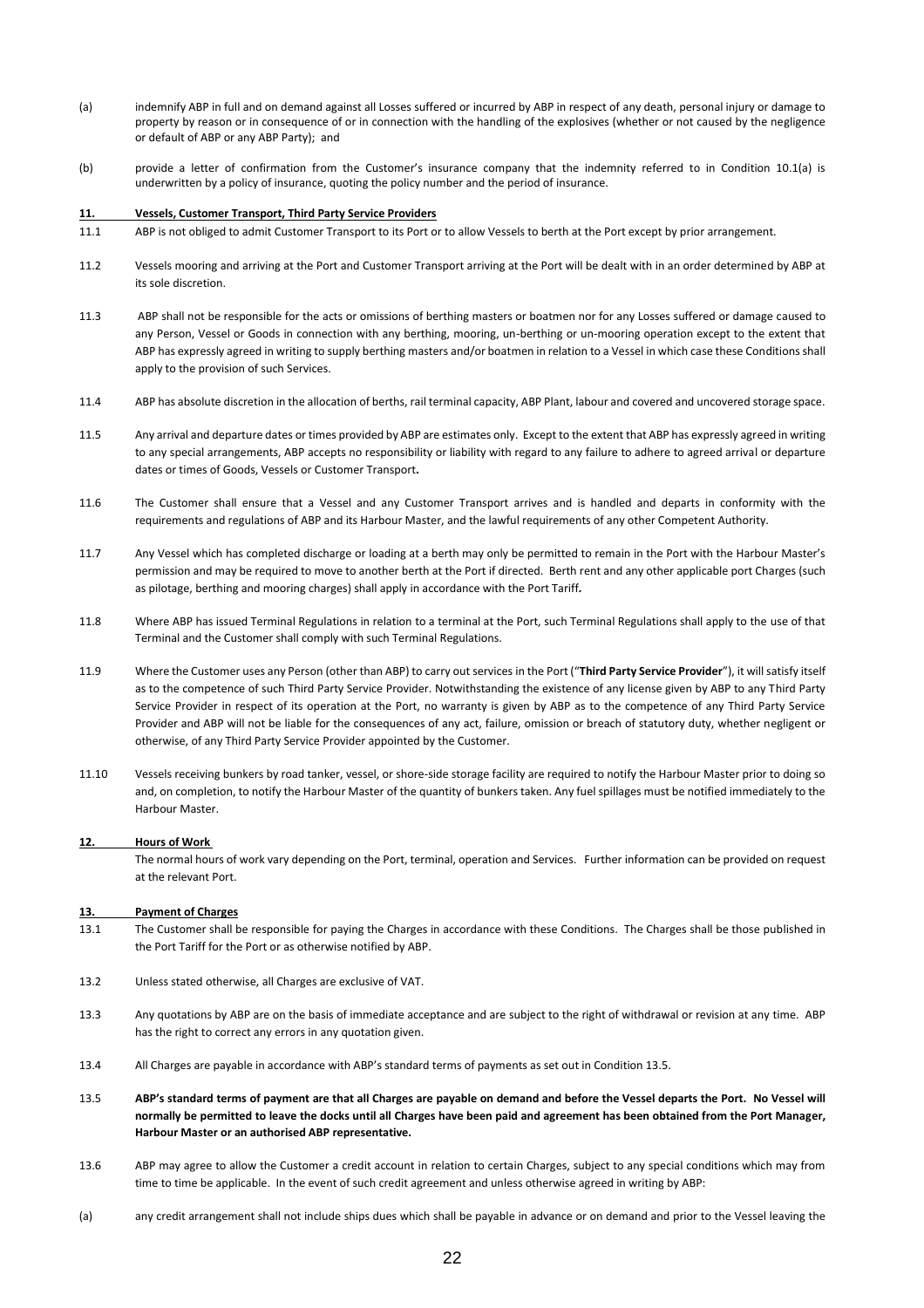- (a) indemnify ABP in full and on demand against all Losses suffered or incurred by ABP in respect of any death, personal injury or damage to property by reason or in consequence of or in connection with the handling of the explosives (whether or not caused by the negligence or default of ABP or any ABP Party); and
- (b) provide a letter of confirmation from the Customer's insurance company that the indemnity referred to in Condition 10.1(a) is underwritten by a policy of insurance, quoting the policy number and the period of insurance.

#### **11. Vessels, Customer Transport, Third Party Service Providers**

- 11.1 ABP is not obliged to admit Customer Transport to its Port or to allow Vessels to berth at the Port except by prior arrangement.
- 11.2 Vessels mooring and arriving at the Port and Customer Transport arriving at the Port will be dealt with in an order determined by ABP at its sole discretion.
- 11.3 ABP shall not be responsible for the acts or omissions of berthing masters or boatmen nor for any Losses suffered or damage caused to any Person, Vessel or Goods in connection with any berthing, mooring, un-berthing or un-mooring operation except to the extent that ABP has expressly agreed in writing to supply berthing masters and/or boatmen in relation to a Vessel in which case these Conditions shall apply to the provision of such Services.
- 11.4 ABP has absolute discretion in the allocation of berths, rail terminal capacity, ABP Plant, labour and covered and uncovered storage space.
- 11.5 Any arrival and departure dates or times provided by ABP are estimates only. Except to the extent that ABP has expressly agreed in writing to any special arrangements, ABP accepts no responsibility or liability with regard to any failure to adhere to agreed arrival or departure dates or times of Goods, Vessels or Customer Transport**.**
- 11.6 The Customer shall ensure that a Vessel and any Customer Transport arrives and is handled and departs in conformity with the requirements and regulations of ABP and its Harbour Master, and the lawful requirements of any other Competent Authority.
- 11.7 Any Vessel which has completed discharge or loading at a berth may only be permitted to remain in the Port with the Harbour Master's permission and may be required to move to another berth at the Port if directed. Berth rent and any other applicable port Charges (such as pilotage, berthing and mooring charges) shall apply in accordance with the Port Tariff*.*
- 11.8 Where ABP has issued Terminal Regulations in relation to a terminal at the Port, such Terminal Regulations shall apply to the use of that Terminal and the Customer shall comply with such Terminal Regulations.
- 11.9 Where the Customer uses any Person (other than ABP) to carry out services in the Port ("**Third Party Service Provider**"), it will satisfy itself as to the competence of such Third Party Service Provider. Notwithstanding the existence of any license given by ABP to any Third Party Service Provider in respect of its operation at the Port, no warranty is given by ABP as to the competence of any Third Party Service Provider and ABP will not be liable for the consequences of any act, failure, omission or breach of statutory duty, whether negligent or otherwise, of any Third Party Service Provider appointed by the Customer.
- 11.10 Vessels receiving bunkers by road tanker, vessel, or shore-side storage facility are required to notify the Harbour Master prior to doing so and, on completion, to notify the Harbour Master of the quantity of bunkers taken. Any fuel spillages must be notified immediately to the Harbour Master.

#### **12. Hours of Work**

The normal hours of work vary depending on the Port, terminal, operation and Services. Further information can be provided on request at the relevant Port.

#### **13. Payment of Charges**

- 13.1 The Customer shall be responsible for paying the Charges in accordance with these Conditions. The Charges shall be those published in the Port Tariff for the Port or as otherwise notified by ABP.
- 13.2 Unless stated otherwise, all Charges are exclusive of VAT.
- 13.3 Any quotations by ABP are on the basis of immediate acceptance and are subject to the right of withdrawal or revision at any time. ABP has the right to correct any errors in any quotation given.
- 13.4 All Charges are payable in accordance with ABP's standard terms of payments as set out in Condition 13.5.
- 13.5 **ABP's standard terms of payment are that all Charges are payable on demand and before the Vessel departs the Port. No Vessel will normally be permitted to leave the docks until all Charges have been paid and agreement has been obtained from the Port Manager, Harbour Master or an authorised ABP representative.**
- 13.6 ABP may agree to allow the Customer a credit account in relation to certain Charges, subject to any special conditions which may from time to time be applicable. In the event of such credit agreement and unless otherwise agreed in writing by ABP:
- (a) any credit arrangement shall not include ships dues which shall be payable in advance or on demand and prior to the Vessel leaving the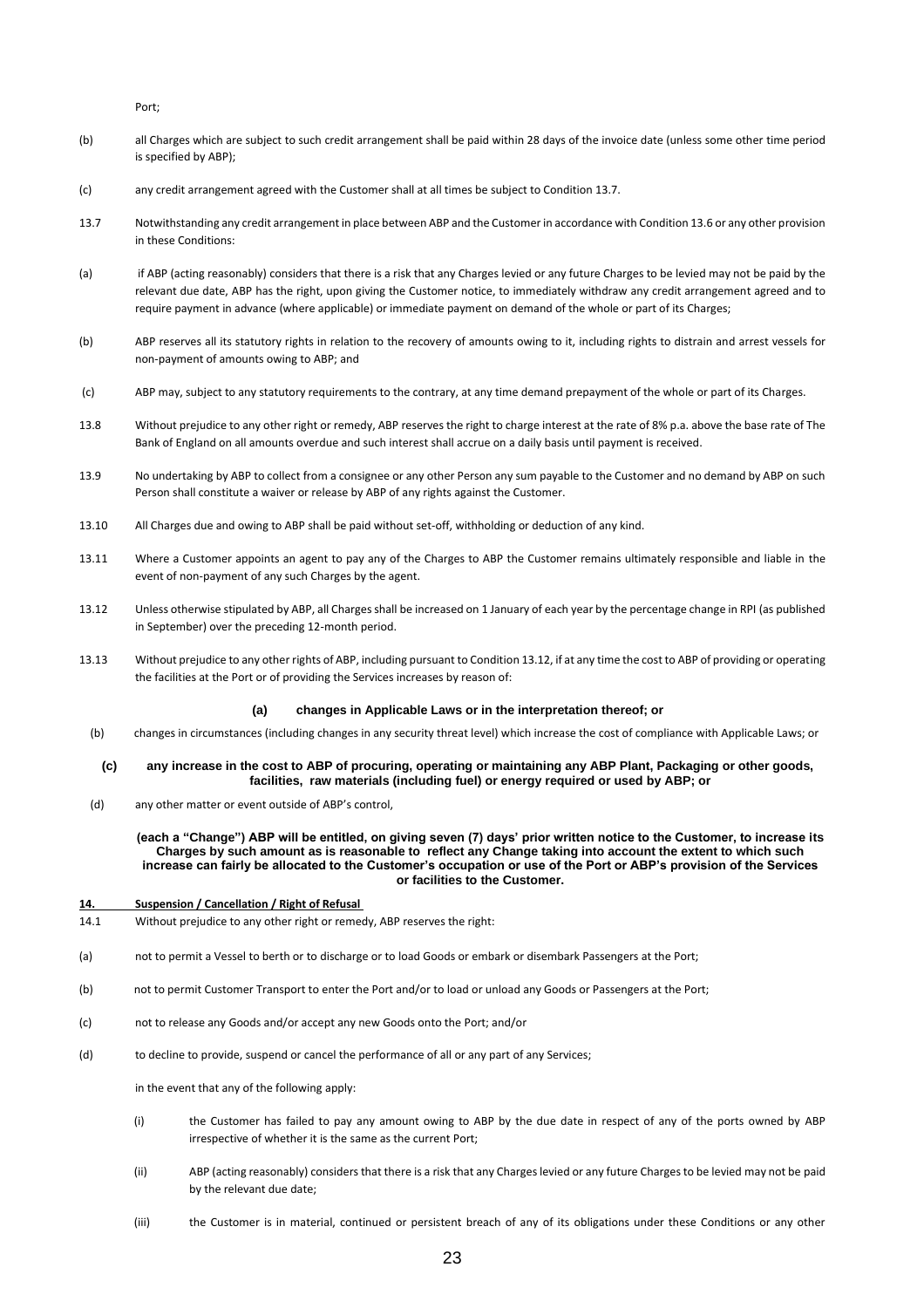Port;

- (b) all Charges which are subject to such credit arrangement shall be paid within 28 days of the invoice date (unless some other time period is specified by ABP);
- (c) any credit arrangement agreed with the Customer shall at all times be subject to Condition 13.7.
- 13.7 Notwithstanding any credit arrangement in place between ABP and the Customer in accordance with Condition 13.6 or any other provision in these Conditions:
- (a) if ABP (acting reasonably) considers that there is a risk that any Charges levied or any future Charges to be levied may not be paid by the relevant due date, ABP has the right, upon giving the Customer notice, to immediately withdraw any credit arrangement agreed and to require payment in advance (where applicable) or immediate payment on demand of the whole or part of its Charges;
- (b) ABP reserves all its statutory rights in relation to the recovery of amounts owing to it, including rights to distrain and arrest vessels for non-payment of amounts owing to ABP; and
- (c) ABP may, subject to any statutory requirements to the contrary, at any time demand prepayment of the whole or part of its Charges.
- 13.8 Without prejudice to any other right or remedy, ABP reserves the right to charge interest at the rate of 8% p.a. above the base rate of The Bank of England on all amounts overdue and such interest shall accrue on a daily basis until payment is received.
- 13.9 No undertaking by ABP to collect from a consignee or any other Person any sum payable to the Customer and no demand by ABP on such Person shall constitute a waiver or release by ABP of any rights against the Customer.
- 13.10 All Charges due and owing to ABP shall be paid without set-off, withholding or deduction of any kind.
- 13.11 Where a Customer appoints an agent to pay any of the Charges to ABP the Customer remains ultimately responsible and liable in the event of non-payment of any such Charges by the agent.
- 13.12 Unless otherwise stipulated by ABP, all Charges shall be increased on 1 January of each year by the percentage change in RPI (as published in September) over the preceding 12-month period.
- 13.13 Without prejudice to any other rights of ABP, including pursuant to Condition 13.12, if at any time the cost to ABP of providing or operating the facilities at the Port or of providing the Services increases by reason of:

#### **(a) changes in Applicable Laws or in the interpretation thereof; or**

- (b) changes in circumstances (including changes in any security threat level) which increase the cost of compliance with Applicable Laws; or
- **(c) any increase in the cost to ABP of procuring, operating or maintaining any ABP Plant, Packaging or other goods, facilities, raw materials (including fuel) or energy required or used by ABP; or**
- (d) any other matter or event outside of ABP's control,

**(each a "Change") ABP will be entitled, on giving seven (7) days' prior written notice to the Customer, to increase its Charges by such amount as is reasonable to reflect any Change taking into account the extent to which such increase can fairly be allocated to the Customer's occupation or use of the Port or ABP's provision of the Services or facilities to the Customer.** 

- **14. Suspension / Cancellation / Right of Refusal**
- 14.1 Without prejudice to any other right or remedy, ABP reserves the right:
- (a) not to permit a Vessel to berth or to discharge or to load Goods or embark or disembark Passengers at the Port;
- (b) not to permit Customer Transport to enter the Port and/or to load or unload any Goods or Passengers at the Port;
- (c) not to release any Goods and/or accept any new Goods onto the Port; and/or
- (d) to decline to provide, suspend or cancel the performance of all or any part of any Services;

in the event that any of the following apply:

- (i) the Customer has failed to pay any amount owing to ABP by the due date in respect of any of the ports owned by ABP irrespective of whether it is the same as the current Port;
- (ii) ABP (acting reasonably) considers that there is a risk that any Charges levied or any future Charges to be levied may not be paid by the relevant due date;
- (iii) the Customer is in material, continued or persistent breach of any of its obligations under these Conditions or any other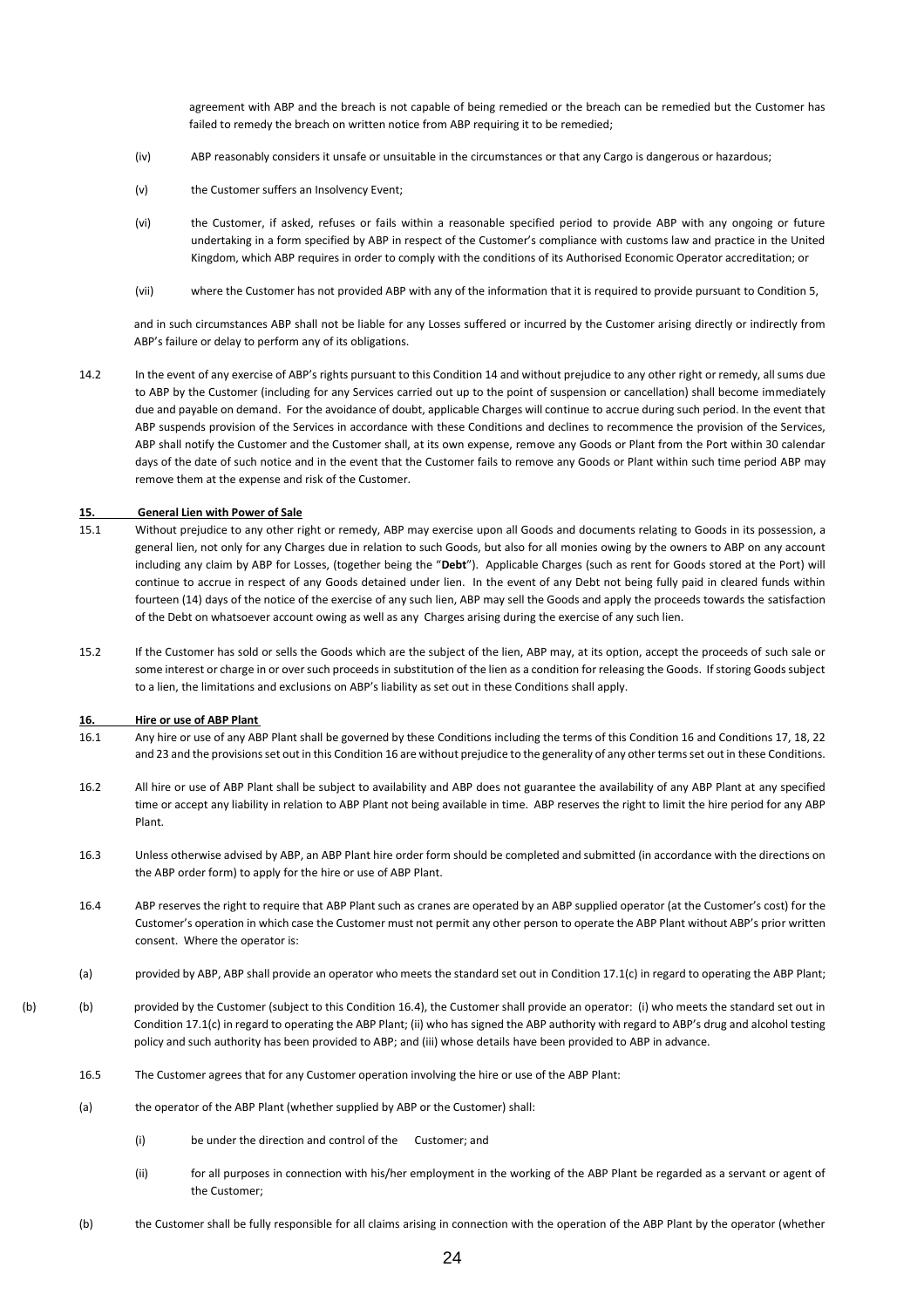agreement with ABP and the breach is not capable of being remedied or the breach can be remedied but the Customer has failed to remedy the breach on written notice from ABP requiring it to be remedied;

- (iv) ABP reasonably considers it unsafe or unsuitable in the circumstances or that any Cargo is dangerous or hazardous;
- (v) the Customer suffers an Insolvency Event;
- (vi) the Customer, if asked, refuses or fails within a reasonable specified period to provide ABP with any ongoing or future undertaking in a form specified by ABP in respect of the Customer's compliance with customs law and practice in the United Kingdom, which ABP requires in order to comply with the conditions of its Authorised Economic Operator accreditation; or
- (vii) where the Customer has not provided ABP with any of the information that it is required to provide pursuant to Condition 5,

and in such circumstances ABP shall not be liable for any Losses suffered or incurred by the Customer arising directly or indirectly from ABP's failure or delay to perform any of its obligations.

14.2 In the event of any exercise of ABP's rights pursuant to this Condition 14 and without prejudice to any other right or remedy, all sums due to ABP by the Customer (including for any Services carried out up to the point of suspension or cancellation) shall become immediately due and payable on demand. For the avoidance of doubt, applicable Charges will continue to accrue during such period. In the event that ABP suspends provision of the Services in accordance with these Conditions and declines to recommence the provision of the Services, ABP shall notify the Customer and the Customer shall, at its own expense, remove any Goods or Plant from the Port within 30 calendar days of the date of such notice and in the event that the Customer fails to remove any Goods or Plant within such time period ABP may remove them at the expense and risk of the Customer.

#### **15. General Lien with Power of Sale**

- 15.1 Without prejudice to any other right or remedy, ABP may exercise upon all Goods and documents relating to Goods in its possession, a general lien, not only for any Charges due in relation to such Goods, but also for all monies owing by the owners to ABP on any account including any claim by ABP for Losses, (together being the "**Debt**"). Applicable Charges (such as rent for Goods stored at the Port) will continue to accrue in respect of any Goods detained under lien. In the event of any Debt not being fully paid in cleared funds within fourteen (14) days of the notice of the exercise of any such lien, ABP may sell the Goods and apply the proceeds towards the satisfaction of the Debt on whatsoever account owing as well as any Charges arising during the exercise of any such lien.
- 15.2 If the Customer has sold or sells the Goods which are the subject of the lien, ABP may, at its option, accept the proceeds of such sale or some interest or charge in or over such proceeds in substitution of the lien as a condition for releasing the Goods. If storing Goods subject to a lien, the limitations and exclusions on ABP's liability as set out in these Conditions shall apply.

#### **16. Hire or use of ABP Plant**

- 16.1 Any hire or use of any ABP Plant shall be governed by these Conditions including the terms of this Condition 16 and Conditions 17, 18, 22 and 23 and the provisions set out in this Condition 16 are without prejudice to the generality of any other terms set out in these Conditions.
- 16.2 All hire or use of ABP Plant shall be subject to availability and ABP does not guarantee the availability of any ABP Plant at any specified time or accept any liability in relation to ABP Plant not being available in time. ABP reserves the right to limit the hire period for any ABP Plant.
- 16.3 Unless otherwise advised by ABP, an ABP Plant hire order form should be completed and submitted (in accordance with the directions on the ABP order form) to apply for the hire or use of ABP Plant.
- 16.4 ABP reserves the right to require that ABP Plant such as cranes are operated by an ABP supplied operator (at the Customer's cost) for the Customer's operation in which case the Customer must not permit any other person to operate the ABP Plant without ABP's prior written consent. Where the operator is:
- (a) provided by ABP, ABP shall provide an operator who meets the standard set out in Condition 17.1(c) in regard to operating the ABP Plant;
- (b) (b) provided by the Customer (subject to this Condition 16.4), the Customer shall provide an operator: (i) who meets the standard set out in Condition 17.1(c) in regard to operating the ABP Plant; (ii) who has signed the ABP authority with regard to ABP's drug and alcohol testing policy and such authority has been provided to ABP; and (iii) whose details have been provided to ABP in advance.
	- 16.5 The Customer agrees that for any Customer operation involving the hire or use of the ABP Plant:
	- (a) the operator of the ABP Plant (whether supplied by ABP or the Customer) shall:
		- (i) be under the direction and control of the Customer; and
		- (ii) for all purposes in connection with his/her employment in the working of the ABP Plant be regarded as a servant or agent of the Customer;
	- (b) the Customer shall be fully responsible for all claims arising in connection with the operation of the ABP Plant by the operator (whether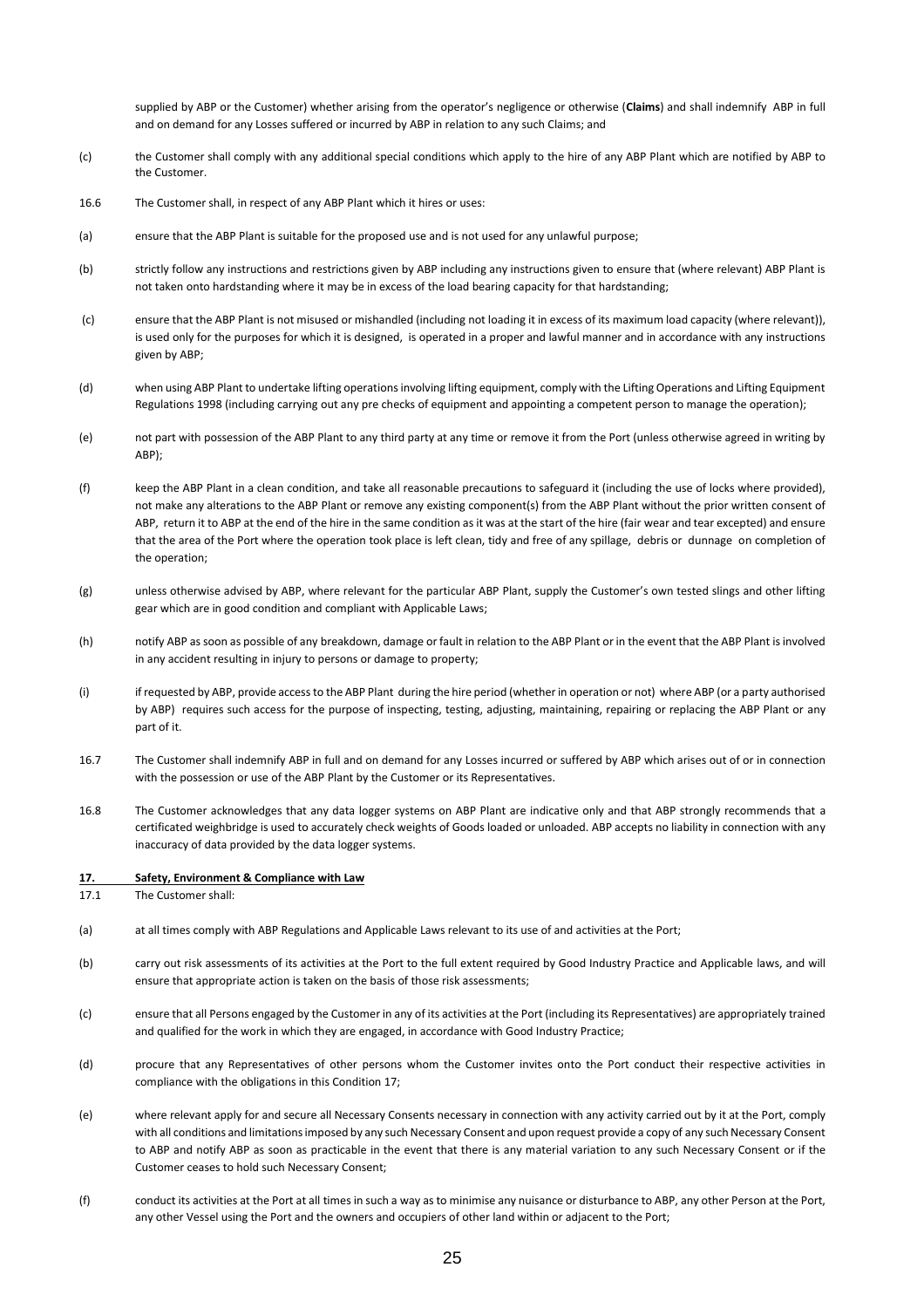supplied by ABP or the Customer) whether arising from the operator's negligence or otherwise (**Claims**) and shall indemnify ABP in full and on demand for any Losses suffered or incurred by ABP in relation to any such Claims; and

- (c) the Customer shall comply with any additional special conditions which apply to the hire of any ABP Plant which are notified by ABP to the Customer.
- 16.6 The Customer shall, in respect of any ABP Plant which it hires or uses:
- (a) ensure that the ABP Plant is suitable for the proposed use and is not used for any unlawful purpose;
- (b) strictly follow any instructions and restrictions given by ABP including any instructions given to ensure that (where relevant) ABP Plant is not taken onto hardstanding where it may be in excess of the load bearing capacity for that hardstanding;
- (c) ensure that the ABP Plant is not misused or mishandled (including not loading it in excess of its maximum load capacity (where relevant)), is used only for the purposes for which it is designed, is operated in a proper and lawful manner and in accordance with any instructions given by ABP;
- (d) when using ABP Plant to undertake lifting operations involving lifting equipment, comply with the Lifting Operations and Lifting Equipment Regulations 1998 (including carrying out any pre checks of equipment and appointing a competent person to manage the operation);
- (e) not part with possession of the ABP Plant to any third party at any time or remove it from the Port (unless otherwise agreed in writing by ABP);
- (f) keep the ABP Plant in a clean condition, and take all reasonable precautions to safeguard it (including the use of locks where provided), not make any alterations to the ABP Plant or remove any existing component(s) from the ABP Plant without the prior written consent of ABP, return it to ABP at the end of the hire in the same condition as it was at the start of the hire (fair wear and tear excepted) and ensure that the area of the Port where the operation took place is left clean, tidy and free of any spillage, debris or dunnage on completion of the operation;
- (g) unless otherwise advised by ABP, where relevant for the particular ABP Plant, supply the Customer's own tested slings and other lifting gear which are in good condition and compliant with Applicable Laws;
- (h) notify ABP as soon as possible of any breakdown, damage or fault in relation to the ABP Plant or in the event that the ABP Plant is involved in any accident resulting in injury to persons or damage to property;
- (i) if requested by ABP, provide access to the ABP Plant during the hire period (whether in operation or not) where ABP (or a party authorised by ABP) requires such access for the purpose of inspecting, testing, adjusting, maintaining, repairing or replacing the ABP Plant or any part of it.
- 16.7 The Customer shall indemnify ABP in full and on demand for any Losses incurred or suffered by ABP which arises out of or in connection with the possession or use of the ABP Plant by the Customer or its Representatives.
- 16.8 The Customer acknowledges that any data logger systems on ABP Plant are indicative only and that ABP strongly recommends that a certificated weighbridge is used to accurately check weights of Goods loaded or unloaded. ABP accepts no liability in connection with any inaccuracy of data provided by the data logger systems.

#### **17. Safety, Environment & Compliance with Law**

17.1 The Customer shall:

- (a) at all times comply with ABP Regulations and Applicable Laws relevant to its use of and activities at the Port;
- (b) carry out risk assessments of its activities at the Port to the full extent required by Good Industry Practice and Applicable laws, and will ensure that appropriate action is taken on the basis of those risk assessments;
- (c) ensure that all Persons engaged by the Customer in any of its activities at the Port (including its Representatives) are appropriately trained and qualified for the work in which they are engaged, in accordance with Good Industry Practice;
- (d) procure that any Representatives of other persons whom the Customer invites onto the Port conduct their respective activities in compliance with the obligations in this Condition 17;
- (e) where relevant apply for and secure all Necessary Consents necessary in connection with any activity carried out by it at the Port, comply with all conditions and limitations imposed by any such Necessary Consent and upon request provide a copy of any such Necessary Consent to ABP and notify ABP as soon as practicable in the event that there is any material variation to any such Necessary Consent or if the Customer ceases to hold such Necessary Consent;
- (f) conduct its activities at the Port at all times in such a way as to minimise any nuisance or disturbance to ABP, any other Person at the Port, any other Vessel using the Port and the owners and occupiers of other land within or adjacent to the Port;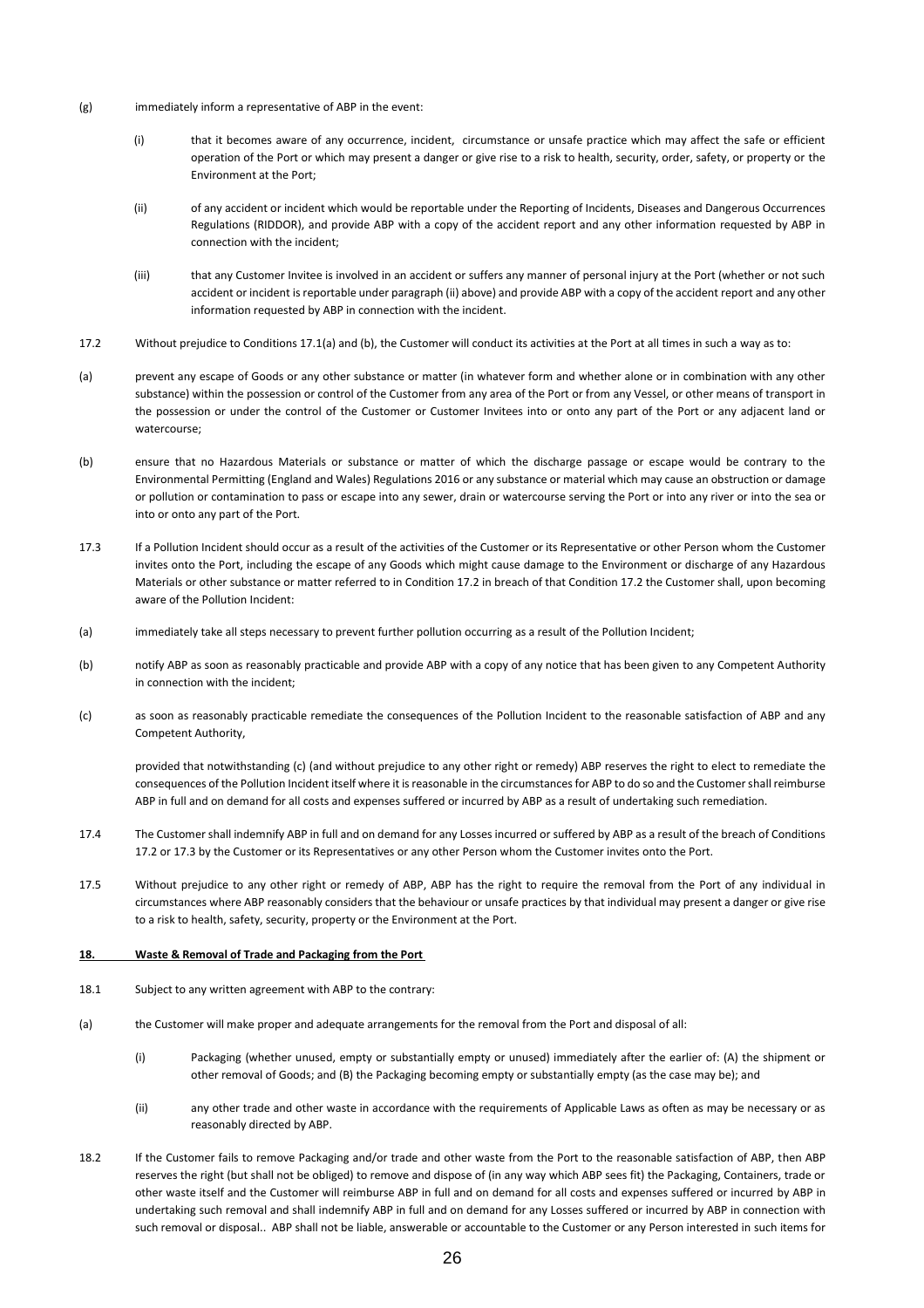- (g) immediately inform a representative of ABP in the event:
	- (i) that it becomes aware of any occurrence, incident, circumstance or unsafe practice which may affect the safe or efficient operation of the Port or which may present a danger or give rise to a risk to health, security, order, safety, or property or the Environment at the Port;
	- (ii) of any accident or incident which would be reportable under the Reporting of Incidents, Diseases and Dangerous Occurrences Regulations (RIDDOR), and provide ABP with a copy of the accident report and any other information requested by ABP in connection with the incident;
	- (iii) that any Customer Invitee is involved in an accident or suffers any manner of personal injury at the Port (whether or not such accident or incident is reportable under paragraph (ii) above) and provide ABP with a copy of the accident report and any other information requested by ABP in connection with the incident.
- 17.2 Without prejudice to Conditions 17.1(a) and (b), the Customer will conduct its activities at the Port at all times in such a way as to:
- (a) prevent any escape of Goods or any other substance or matter (in whatever form and whether alone or in combination with any other substance) within the possession or control of the Customer from any area of the Port or from any Vessel, or other means of transport in the possession or under the control of the Customer or Customer Invitees into or onto any part of the Port or any adjacent land or watercourse;
- (b) ensure that no Hazardous Materials or substance or matter of which the discharge passage or escape would be contrary to the Environmental Permitting (England and Wales) Regulations 2016 or any substance or material which may cause an obstruction or damage or pollution or contamination to pass or escape into any sewer, drain or watercourse serving the Port or into any river or into the sea or into or onto any part of the Port.
- 17.3 If a Pollution Incident should occur as a result of the activities of the Customer or its Representative or other Person whom the Customer invites onto the Port, including the escape of any Goods which might cause damage to the Environment or discharge of any Hazardous Materials or other substance or matter referred to in Condition 17.2 in breach of that Condition 17.2 the Customer shall, upon becoming aware of the Pollution Incident:
- (a) immediately take all steps necessary to prevent further pollution occurring as a result of the Pollution Incident;
- (b) notify ABP as soon as reasonably practicable and provide ABP with a copy of any notice that has been given to any Competent Authority in connection with the incident;
- (c) as soon as reasonably practicable remediate the consequences of the Pollution Incident to the reasonable satisfaction of ABP and any Competent Authority,

provided that notwithstanding (c) (and without prejudice to any other right or remedy) ABP reserves the right to elect to remediate the consequences of the Pollution Incident itself where it is reasonable in the circumstances for ABP to do so and the Customer shall reimburse ABP in full and on demand for all costs and expenses suffered or incurred by ABP as a result of undertaking such remediation.

- 17.4 The Customer shall indemnify ABP in full and on demand for any Losses incurred or suffered by ABP as a result of the breach of Conditions 17.2 or 17.3 by the Customer or its Representatives or any other Person whom the Customer invites onto the Port.
- 17.5 Without prejudice to any other right or remedy of ABP, ABP has the right to require the removal from the Port of any individual in circumstances where ABP reasonably considers that the behaviour or unsafe practices by that individual may present a danger or give rise to a risk to health, safety, security, property or the Environment at the Port.

#### **18. Waste & Removal of Trade and Packaging from the Port**

- 18.1 Subject to any written agreement with ABP to the contrary:
- (a) the Customer will make proper and adequate arrangements for the removal from the Port and disposal of all:
	- (i) Packaging (whether unused, empty or substantially empty or unused) immediately after the earlier of: (A) the shipment or other removal of Goods; and (B) the Packaging becoming empty or substantially empty (as the case may be); and
	- (ii) any other trade and other waste in accordance with the requirements of Applicable Laws as often as may be necessary or as reasonably directed by ABP.
- 18.2 If the Customer fails to remove Packaging and/or trade and other waste from the Port to the reasonable satisfaction of ABP, then ABP reserves the right (but shall not be obliged) to remove and dispose of (in any way which ABP sees fit) the Packaging, Containers, trade or other waste itself and the Customer will reimburse ABP in full and on demand for all costs and expenses suffered or incurred by ABP in undertaking such removal and shall indemnify ABP in full and on demand for any Losses suffered or incurred by ABP in connection with such removal or disposal.. ABP shall not be liable, answerable or accountable to the Customer or any Person interested in such items for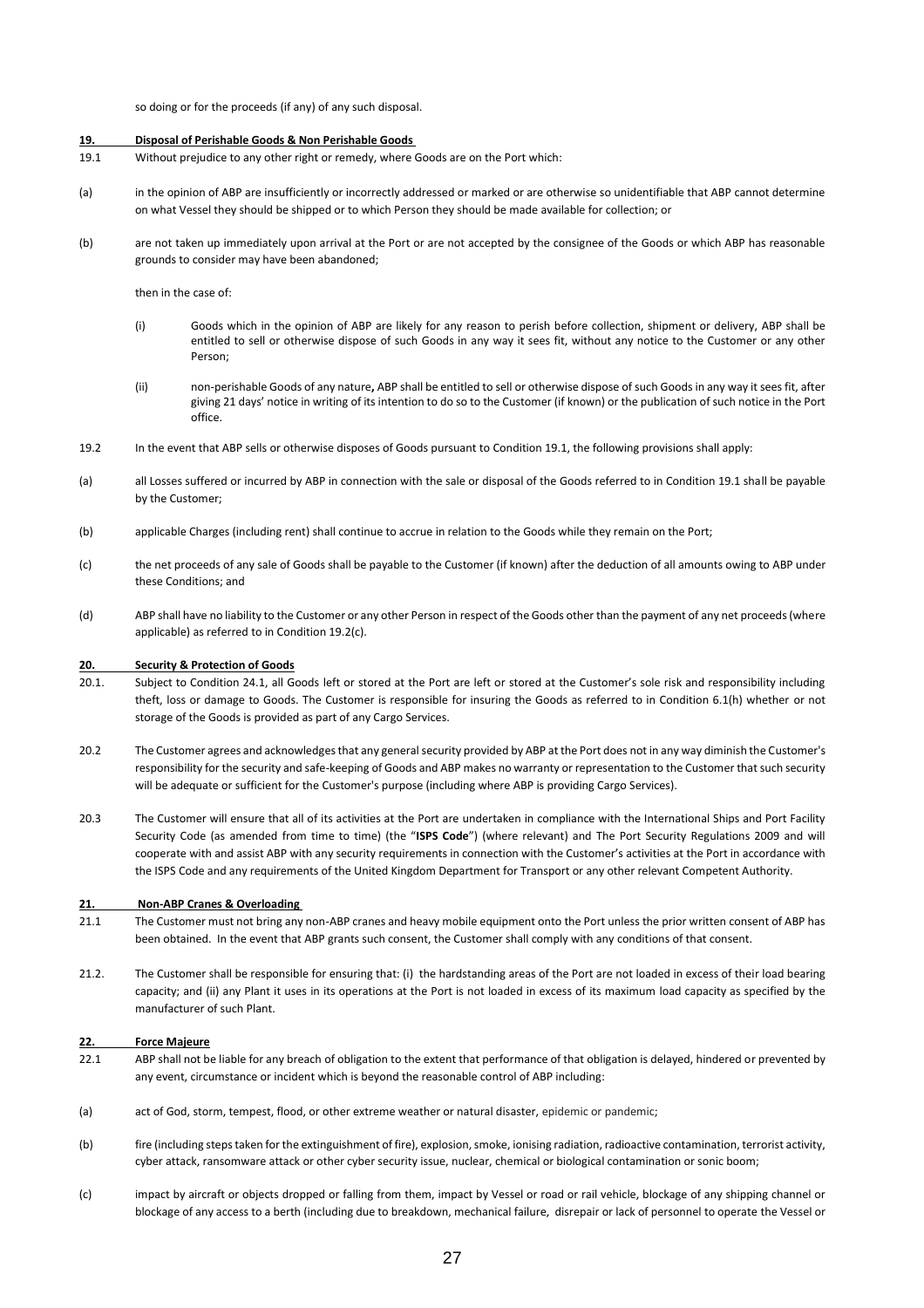so doing or for the proceeds (if any) of any such disposal.

#### **19. Disposal of Perishable Goods & Non Perishable Goods**

- 19.1 Without prejudice to any other right or remedy, where Goods are on the Port which:
- (a) in the opinion of ABP are insufficiently or incorrectly addressed or marked or are otherwise so unidentifiable that ABP cannot determine on what Vessel they should be shipped or to which Person they should be made available for collection; or
- (b) are not taken up immediately upon arrival at the Port or are not accepted by the consignee of the Goods or which ABP has reasonable grounds to consider may have been abandoned;

then in the case of:

- (i) Goods which in the opinion of ABP are likely for any reason to perish before collection, shipment or delivery, ABP shall be entitled to sell or otherwise dispose of such Goods in any way it sees fit, without any notice to the Customer or any other Person;
- (ii) non-perishable Goods of any nature**,** ABP shall be entitled to sell or otherwise dispose of such Goods in any way it sees fit, after giving 21 days' notice in writing of its intention to do so to the Customer (if known) or the publication of such notice in the Port office.
- 19.2 In the event that ABP sells or otherwise disposes of Goods pursuant to Condition 19.1, the following provisions shall apply:
- (a) all Losses suffered or incurred by ABP in connection with the sale or disposal of the Goods referred to in Condition 19.1 shall be payable by the Customer;
- (b) applicable Charges (including rent) shall continue to accrue in relation to the Goods while they remain on the Port;
- (c) the net proceeds of any sale of Goods shall be payable to the Customer (if known) after the deduction of all amounts owing to ABP under these Conditions; and
- (d) ABP shall have no liability to the Customer or any other Person in respect of the Goods other than the payment of any net proceeds (where applicable) as referred to in Condition 19.2(c).

#### **20. Security & Protection of Goods**

- 20.1. Subject to Condition 24.1, all Goods left or stored at the Port are left or stored at the Customer's sole risk and responsibility including theft, loss or damage to Goods. The Customer is responsible for insuring the Goods as referred to in Condition 6.1(h) whether or not storage of the Goods is provided as part of any Cargo Services.
- 20.2 The Customer agrees and acknowledges that any general security provided by ABP at the Port does not in any way diminish the Customer's responsibility for the security and safe-keeping of Goods and ABP makes no warranty or representation to the Customer that such security will be adequate or sufficient for the Customer's purpose (including where ABP is providing Cargo Services).
- 20.3 The Customer will ensure that all of its activities at the Port are undertaken in compliance with the International Ships and Port Facility Security Code (as amended from time to time) (the "**ISPS Code**") (where relevant) and The Port Security Regulations 2009 and will cooperate with and assist ABP with any security requirements in connection with the Customer's activities at the Port in accordance with the ISPS Code and any requirements of the United Kingdom Department for Transport or any other relevant Competent Authority.

#### **21. Non-ABP Cranes & Overloading**

- 21.1 The Customer must not bring any non-ABP cranes and heavy mobile equipment onto the Port unless the prior written consent of ABP has been obtained. In the event that ABP grants such consent, the Customer shall comply with any conditions of that consent.
- 21.2. The Customer shall be responsible for ensuring that: (i) the hardstanding areas of the Port are not loaded in excess of their load bearing capacity; and (ii) any Plant it uses in its operations at the Port is not loaded in excess of its maximum load capacity as specified by the manufacturer of such Plant.

#### **22. Force Majeure**

- 22.1 ABP shall not be liable for any breach of obligation to the extent that performance of that obligation is delayed, hindered or prevented by any event, circumstance or incident which is beyond the reasonable control of ABP including:
- (a) act of God, storm, tempest, flood, or other extreme weather or natural disaster, epidemic or pandemic;
- (b) fire (including steps taken for the extinguishment of fire), explosion, smoke, ionising radiation, radioactive contamination, terrorist activity, cyber attack, ransomware attack or other cyber security issue, nuclear, chemical or biological contamination or sonic boom;
- (c) impact by aircraft or objects dropped or falling from them, impact by Vessel or road or rail vehicle, blockage of any shipping channel or blockage of any access to a berth (including due to breakdown, mechanical failure, disrepair or lack of personnel to operate the Vessel or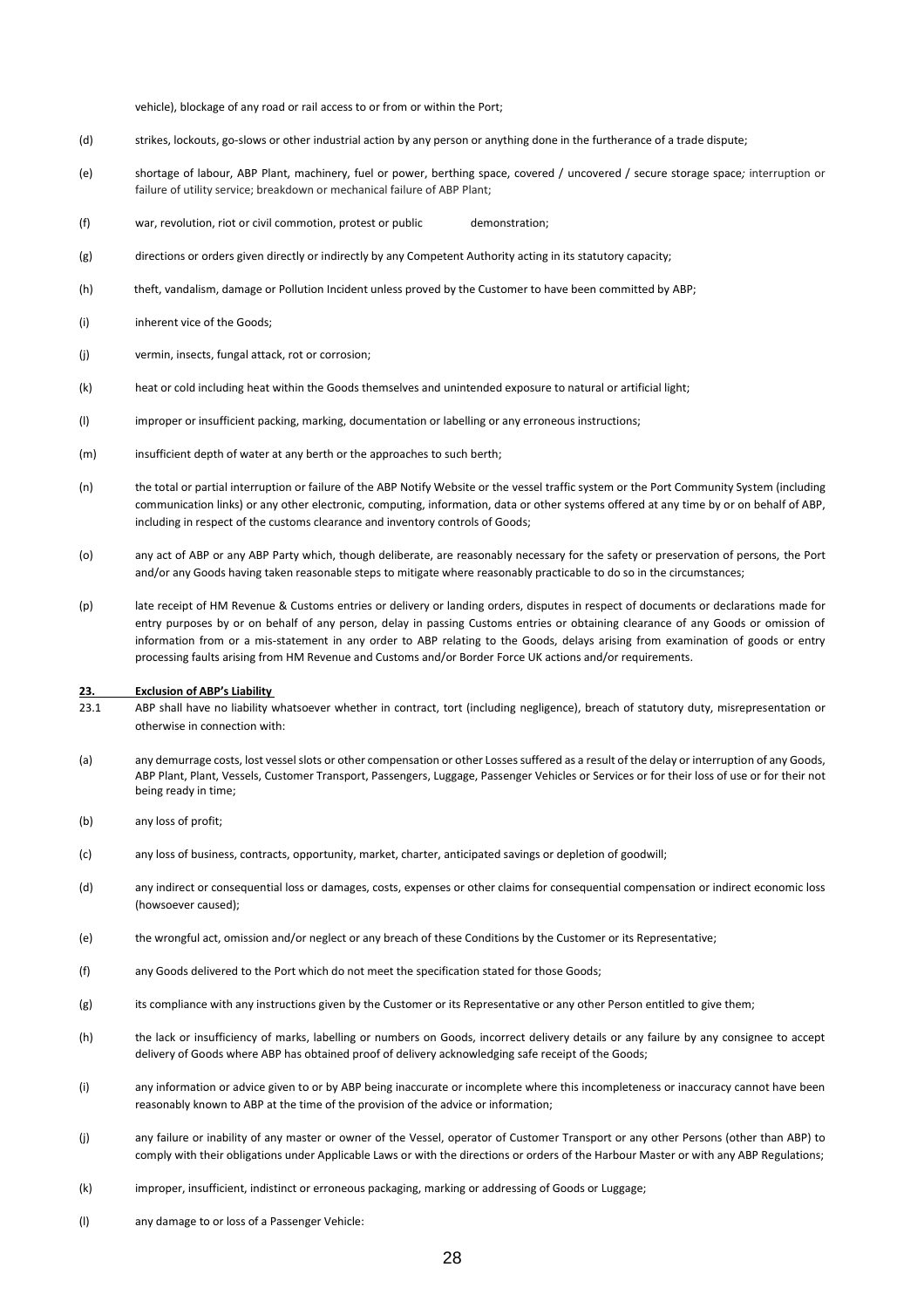vehicle), blockage of any road or rail access to or from or within the Port;

- (d) strikes, lockouts, go-slows or other industrial action by any person or anything done in the furtherance of a trade dispute;
- (e) shortage of labour, ABP Plant, machinery, fuel or power, berthing space, covered / uncovered / secure storage space*;* interruption or failure of utility service; breakdown or mechanical failure of ABP Plant;
- (f) war, revolution, riot or civil commotion, protest or public demonstration;
- (g) directions or orders given directly or indirectly by any Competent Authority acting in its statutory capacity;
- (h) theft, vandalism, damage or Pollution Incident unless proved by the Customer to have been committed by ABP;
- (i) inherent vice of the Goods:
- (j) vermin, insects, fungal attack, rot or corrosion;
- (k) heat or cold including heat within the Goods themselves and unintended exposure to natural or artificial light;
- (l) improper or insufficient packing, marking, documentation or labelling or any erroneous instructions;
- (m) insufficient depth of water at any berth or the approaches to such berth;
- (n) the total or partial interruption or failure of the ABP Notify Website or the vessel traffic system or the Port Community System (including communication links) or any other electronic, computing, information, data or other systems offered at any time by or on behalf of ABP, including in respect of the customs clearance and inventory controls of Goods;
- (o) any act of ABP or any ABP Party which, though deliberate, are reasonably necessary for the safety or preservation of persons, the Port and/or any Goods having taken reasonable steps to mitigate where reasonably practicable to do so in the circumstances;
- (p) late receipt of HM Revenue & Customs entries or delivery or landing orders, disputes in respect of documents or declarations made for entry purposes by or on behalf of any person, delay in passing Customs entries or obtaining clearance of any Goods or omission of information from or a mis-statement in any order to ABP relating to the Goods, delays arising from examination of goods or entry processing faults arising from HM Revenue and Customs and/or Border Force UK actions and/or requirements.

#### **23. Exclusion of ABP's Liability**

- 23.1 ABP shall have no liability whatsoever whether in contract, tort (including negligence), breach of statutory duty, misrepresentation or otherwise in connection with:
- (a) any demurrage costs, lost vessel slots or other compensation or other Losses suffered as a result of the delay or interruption of any Goods, ABP Plant, Plant, Vessels, Customer Transport, Passengers, Luggage, Passenger Vehicles or Services or for their loss of use or for their not being ready in time;
- (b) any loss of profit;
- (c) any loss of business, contracts, opportunity, market, charter, anticipated savings or depletion of goodwill;
- (d) any indirect or consequential loss or damages, costs, expenses or other claims for consequential compensation or indirect economic loss (howsoever caused);
- (e) the wrongful act, omission and/or neglect or any breach of these Conditions by the Customer or its Representative;
- (f) any Goods delivered to the Port which do not meet the specification stated for those Goods;
- (g) its compliance with any instructions given by the Customer or its Representative or any other Person entitled to give them;
- (h) the lack or insufficiency of marks, labelling or numbers on Goods, incorrect delivery details or any failure by any consignee to accept delivery of Goods where ABP has obtained proof of delivery acknowledging safe receipt of the Goods;
- (i) any information or advice given to or by ABP being inaccurate or incomplete where this incompleteness or inaccuracy cannot have been reasonably known to ABP at the time of the provision of the advice or information;
- (j) any failure or inability of any master or owner of the Vessel, operator of Customer Transport or any other Persons (other than ABP) to comply with their obligations under Applicable Laws or with the directions or orders of the Harbour Master or with any ABP Regulations;
- (k) improper, insufficient, indistinct or erroneous packaging, marking or addressing of Goods or Luggage;
- (l) any damage to or loss of a Passenger Vehicle: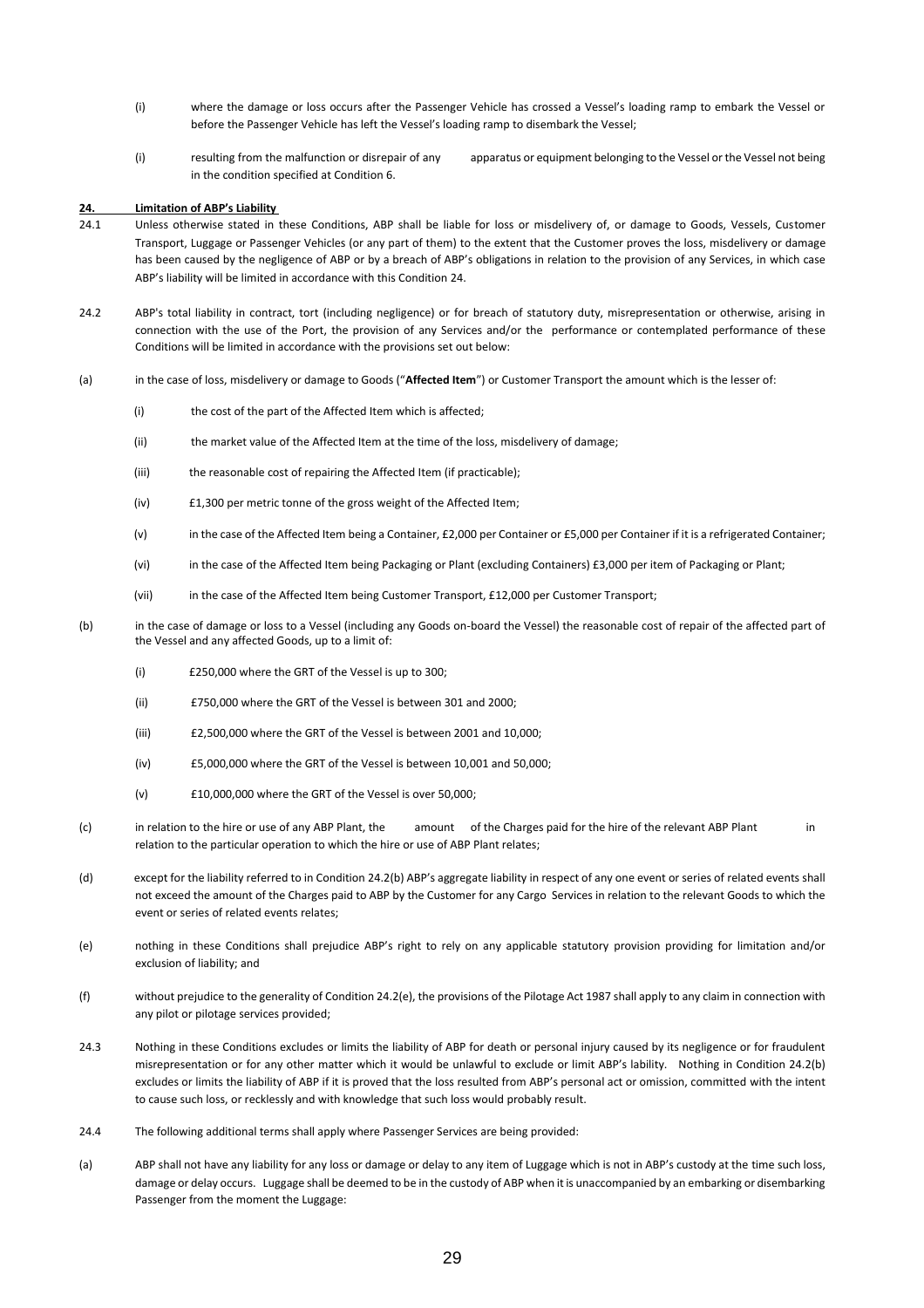- (i) where the damage or loss occurs after the Passenger Vehicle has crossed a Vessel's loading ramp to embark the Vessel or before the Passenger Vehicle has left the Vessel's loading ramp to disembark the Vessel;
- (i) resulting from the malfunction or disrepair of any apparatus or equipment belonging to the Vessel or the Vessel not being in the condition specified at Condition 6.

#### **24. Limitation of ABP's Liability**

- 24.1 Unless otherwise stated in these Conditions, ABP shall be liable for loss or misdelivery of, or damage to Goods, Vessels, Customer Transport, Luggage or Passenger Vehicles (or any part of them) to the extent that the Customer proves the loss, misdelivery or damage has been caused by the negligence of ABP or by a breach of ABP's obligations in relation to the provision of any Services, in which case ABP's liability will be limited in accordance with this Condition 24.
- 24.2 ABP's total liability in contract, tort (including negligence) or for breach of statutory duty, misrepresentation or otherwise, arising in connection with the use of the Port, the provision of any Services and/or the performance or contemplated performance of these Conditions will be limited in accordance with the provisions set out below:
- (a) in the case of loss, misdelivery or damage to Goods ("**Affected Item**") or Customer Transport the amount which is the lesser of:
	- (i) the cost of the part of the Affected Item which is affected;
	- (ii) the market value of the Affected Item at the time of the loss, misdelivery of damage;
	- (iii) the reasonable cost of repairing the Affected Item (if practicable);
	- (iv) £1,300 per metric tonne of the gross weight of the Affected Item;
	- (v) in the case of the Affected Item being a Container, £2,000 per Container or £5,000 per Container if it is a refrigerated Container;
	- (vi) in the case of the Affected Item being Packaging or Plant (excluding Containers) £3,000 per item of Packaging or Plant;
	- (vii) in the case of the Affected Item being Customer Transport, £12,000 per Customer Transport;
- (b) in the case of damage or loss to a Vessel (including any Goods on-board the Vessel) the reasonable cost of repair of the affected part of the Vessel and any affected Goods, up to a limit of:
	- (i) £250,000 where the GRT of the Vessel is up to 300;
	- (ii) £750,000 where the GRT of the Vessel is between 301 and 2000;
	- (iii) £2,500,000 where the GRT of the Vessel is between 2001 and 10,000;
	- (iv) £5,000,000 where the GRT of the Vessel is between 10,001 and 50,000;
	- (v) £10,000,000 where the GRT of the Vessel is over 50,000;
- (c) in relation to the hire or use of any ABP Plant, the amount of the Charges paid for the hire of the relevant ABP Plant in relation to the particular operation to which the hire or use of ABP Plant relates;
- (d) except for the liability referred to in Condition 24.2(b) ABP's aggregate liability in respect of any one event or series of related events shall not exceed the amount of the Charges paid to ABP by the Customer for any Cargo Services in relation to the relevant Goods to which the event or series of related events relates;
- (e) nothing in these Conditions shall prejudice ABP's right to rely on any applicable statutory provision providing for limitation and/or exclusion of liability; and
- (f) without prejudice to the generality of Condition 24.2(e), the provisions of the Pilotage Act 1987 shall apply to any claim in connection with any pilot or pilotage services provided;
- 24.3 Nothing in these Conditions excludes or limits the liability of ABP for death or personal injury caused by its negligence or for fraudulent misrepresentation or for any other matter which it would be unlawful to exclude or limit ABP's lability. Nothing in Condition 24.2(b) excludes or limits the liability of ABP if it is proved that the loss resulted from ABP's personal act or omission, committed with the intent to cause such loss, or recklessly and with knowledge that such loss would probably result.
- 24.4 The following additional terms shall apply where Passenger Services are being provided:
- (a) ABP shall not have any liability for any loss or damage or delay to any item of Luggage which is not in ABP's custody at the time such loss, damage or delay occurs. Luggage shall be deemed to be in the custody of ABP when it is unaccompanied by an embarking or disembarking Passenger from the moment the Luggage: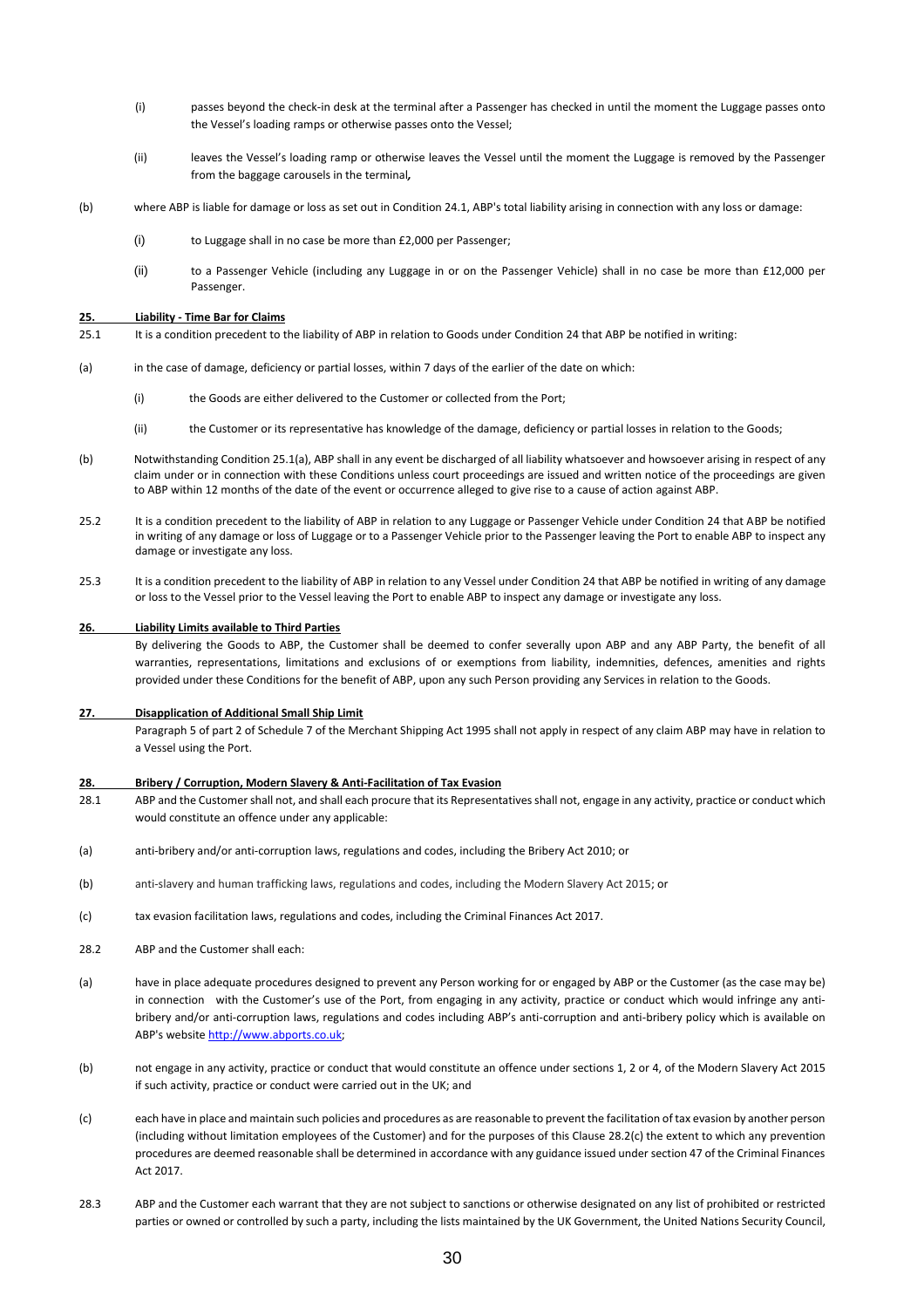- (i) passes beyond the check-in desk at the terminal after a Passenger has checked in until the moment the Luggage passes onto the Vessel's loading ramps or otherwise passes onto the Vessel;
- (ii) leaves the Vessel's loading ramp or otherwise leaves the Vessel until the moment the Luggage is removed by the Passenger from the baggage carousels in the terminal*,*
- (b) where ABP is liable for damage or loss as set out in Condition 24.1, ABP's total liability arising in connection with any loss or damage:
	- (i) to Luggage shall in no case be more than £2,000 per Passenger;
	- (ii) to a Passenger Vehicle (including any Luggage in or on the Passenger Vehicle) shall in no case be more than £12,000 per Passenger.

#### **25. Liability - Time Bar for Claims**

- 25.1 It is a condition precedent to the liability of ABP in relation to Goods under Condition 24 that ABP be notified in writing:
- (a) in the case of damage, deficiency or partial losses, within 7 days of the earlier of the date on which:
	- (i) the Goods are either delivered to the Customer or collected from the Port;
	- (ii) the Customer or its representative has knowledge of the damage, deficiency or partial losses in relation to the Goods;
- (b) Notwithstanding Condition 25.1(a), ABP shall in any event be discharged of all liability whatsoever and howsoever arising in respect of any claim under or in connection with these Conditions unless court proceedings are issued and written notice of the proceedings are given to ABP within 12 months of the date of the event or occurrence alleged to give rise to a cause of action against ABP.
- 25.2 It is a condition precedent to the liability of ABP in relation to any Luggage or Passenger Vehicle under Condition 24 that ABP be notified in writing of any damage or loss of Luggage or to a Passenger Vehicle prior to the Passenger leaving the Port to enable ABP to inspect any damage or investigate any loss.
- 25.3 It is a condition precedent to the liability of ABP in relation to any Vessel under Condition 24 that ABP be notified in writing of any damage or loss to the Vessel prior to the Vessel leaving the Port to enable ABP to inspect any damage or investigate any loss.

#### **26. Liability Limits available to Third Parties**

By delivering the Goods to ABP, the Customer shall be deemed to confer severally upon ABP and any ABP Party, the benefit of all warranties, representations, limitations and exclusions of or exemptions from liability, indemnities, defences, amenities and rights provided under these Conditions for the benefit of ABP, upon any such Person providing any Services in relation to the Goods.

#### **27. Disapplication of Additional Small Ship Limit**

Paragraph 5 of part 2 of Schedule 7 of the Merchant Shipping Act 1995 shall not apply in respect of any claim ABP may have in relation to a Vessel using the Port.

#### **28. Bribery / Corruption, Modern Slavery & Anti-Facilitation of Tax Evasion**

- 28.1 ABP and the Customer shall not, and shall each procure that its Representatives shall not, engage in any activity, practice or conduct which would constitute an offence under any applicable:
- (a) anti-bribery and/or anti-corruption laws, regulations and codes, including the Bribery Act 2010; or
- (b) anti-slavery and human trafficking laws, regulations and codes, including the Modern Slavery Act 2015; or
- (c) tax evasion facilitation laws, regulations and codes, including the Criminal Finances Act 2017.
- 28.2 ABP and the Customer shall each:
- (a) have in place adequate procedures designed to prevent any Person working for or engaged by ABP or the Customer (as the case may be) in connection with the Customer's use of the Port, from engaging in any activity, practice or conduct which would infringe any antibribery and/or anti-corruption laws, regulations and codes including ABP's anti-corruption and anti-bribery policy which is available on ABP's websit[e http://www.abports.co.uk;](http://www.abports.co.uk/)
- (b) not engage in any activity, practice or conduct that would constitute an offence under sections 1, 2 or 4, of the Modern Slavery Act 2015 if such activity, practice or conduct were carried out in the UK; and
- (c) each have in place and maintain such policies and procedures as are reasonable to prevent the facilitation of tax evasion by another person (including without limitation employees of the Customer) and for the purposes of this Clause 28.2(c) the extent to which any prevention procedures are deemed reasonable shall be determined in accordance with any guidance issued under section 47 of the Criminal Finances Act 2017.
- 28.3 ABP and the Customer each warrant that they are not subject to sanctions or otherwise designated on any list of prohibited or restricted parties or owned or controlled by such a party, including the lists maintained by the UK Government, the United Nations Security Council,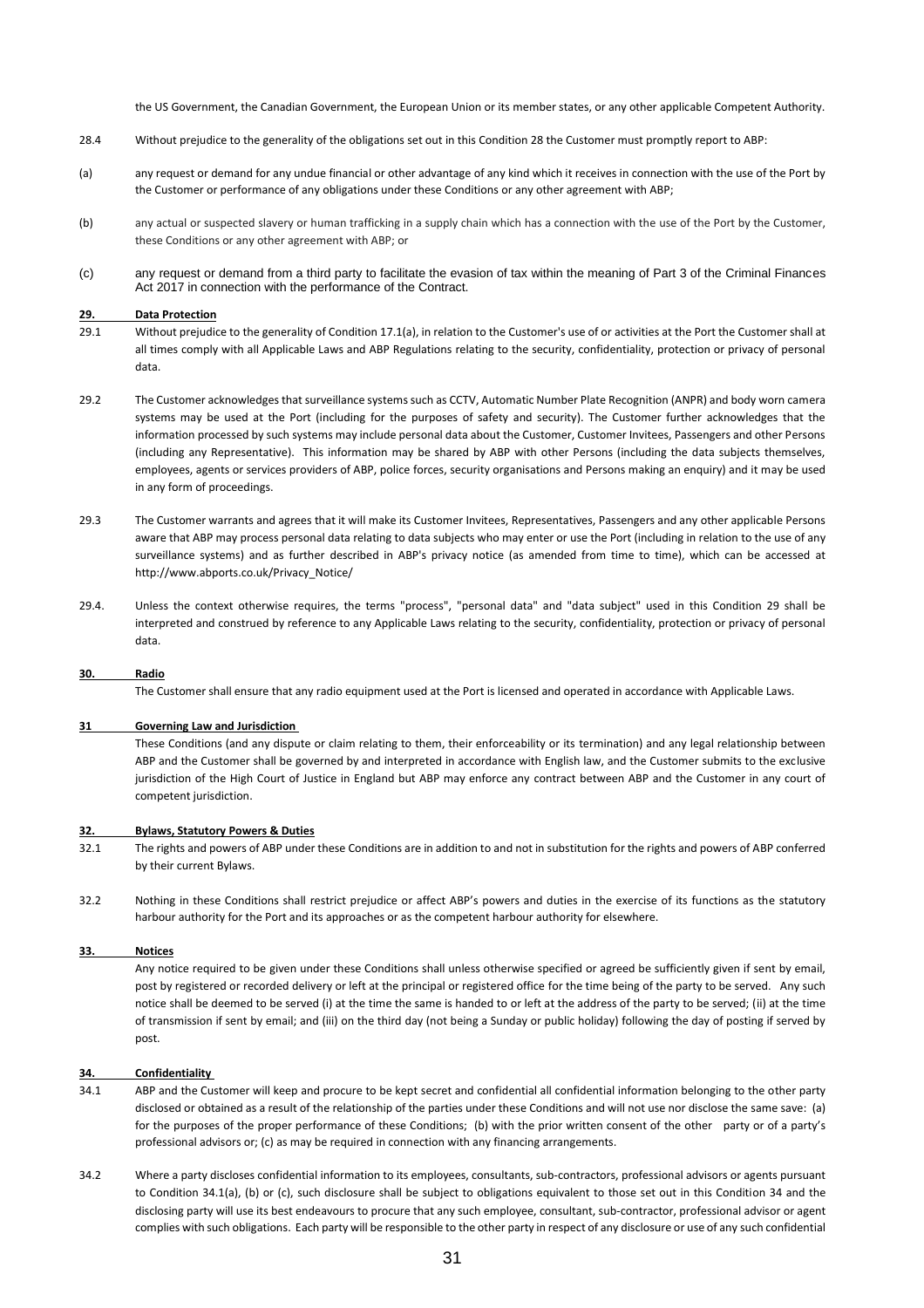the US Government, the Canadian Government, the European Union or its member states, or any other applicable Competent Authority.

- 28.4 Without prejudice to the generality of the obligations set out in this Condition 28 the Customer must promptly report to ABP:
- (a) any request or demand for any undue financial or other advantage of any kind which it receives in connection with the use of the Port by the Customer or performance of any obligations under these Conditions or any other agreement with ABP;
- (b) any actual or suspected slavery or human trafficking in a supply chain which has a connection with the use of the Port by the Customer, these Conditions or any other agreement with ABP; or
- (c) any request or demand from a third party to facilitate the evasion of tax within the meaning of Part 3 of the Criminal Finances Act 2017 in connection with the performance of the Contract.

#### **29. Data Protection**

- 29.1 Without prejudice to the generality of Condition 17.1(a), in relation to the Customer's use of or activities at the Port the Customer shall at all times comply with all Applicable Laws and ABP Regulations relating to the security, confidentiality, protection or privacy of personal data.
- 29.2 The Customer acknowledges that surveillance systems such as CCTV, Automatic Number Plate Recognition (ANPR) and body worn camera systems may be used at the Port (including for the purposes of safety and security). The Customer further acknowledges that the information processed by such systems may include personal data about the Customer, Customer Invitees, Passengers and other Persons (including any Representative). This information may be shared by ABP with other Persons (including the data subjects themselves, employees, agents or services providers of ABP, police forces, security organisations and Persons making an enquiry) and it may be used in any form of proceedings.
- 29.3 The Customer warrants and agrees that it will make its Customer Invitees, Representatives, Passengers and any other applicable Persons aware that ABP may process personal data relating to data subjects who may enter or use the Port (including in relation to the use of any surveillance systems) and as further described in ABP's privacy notice (as amended from time to time), which can be accessed at http://www.abports.co.uk/Privacy\_Notice/
- 29.4. Unless the context otherwise requires, the terms "process", "personal data" and "data subject" used in this Condition 29 shall be interpreted and construed by reference to any Applicable Laws relating to the security, confidentiality, protection or privacy of personal data.

#### **30. Radio**

The Customer shall ensure that any radio equipment used at the Port is licensed and operated in accordance with Applicable Laws.

#### **31 Governing Law and Jurisdiction**

These Conditions (and any dispute or claim relating to them, their enforceability or its termination) and any legal relationship between ABP and the Customer shall be governed by and interpreted in accordance with English law, and the Customer submits to the exclusive jurisdiction of the High Court of Justice in England but ABP may enforce any contract between ABP and the Customer in any court of competent jurisdiction.

#### **32. Bylaws, Statutory Powers & Duties**

- 32.1 The rights and powers of ABP under these Conditions are in addition to and not in substitution for the rights and powers of ABP conferred by their current Bylaws.
- 32.2 Nothing in these Conditions shall restrict prejudice or affect ABP's powers and duties in the exercise of its functions as the statutory harbour authority for the Port and its approaches or as the competent harbour authority for elsewhere.

#### **33. Notices**

Any notice required to be given under these Conditions shall unless otherwise specified or agreed be sufficiently given if sent by email, post by registered or recorded delivery or left at the principal or registered office for the time being of the party to be served. Any such notice shall be deemed to be served (i) at the time the same is handed to or left at the address of the party to be served; (ii) at the time of transmission if sent by email; and (iii) on the third day (not being a Sunday or public holiday) following the day of posting if served by post.

#### **34. Confidentiality**

- 34.1 ABP and the Customer will keep and procure to be kept secret and confidential all confidential information belonging to the other party disclosed or obtained as a result of the relationship of the parties under these Conditions and will not use nor disclose the same save: (a) for the purposes of the proper performance of these Conditions; (b) with the prior written consent of the other party or of a party's professional advisors or; (c) as may be required in connection with any financing arrangements.
- 34.2 Where a party discloses confidential information to its employees, consultants, sub-contractors, professional advisors or agents pursuant to Condition 34.1(a), (b) or (c), such disclosure shall be subject to obligations equivalent to those set out in this Condition 34 and the disclosing party will use its best endeavours to procure that any such employee, consultant, sub-contractor, professional advisor or agent complies with such obligations. Each party will be responsible to the other party in respect of any disclosure or use of any such confidential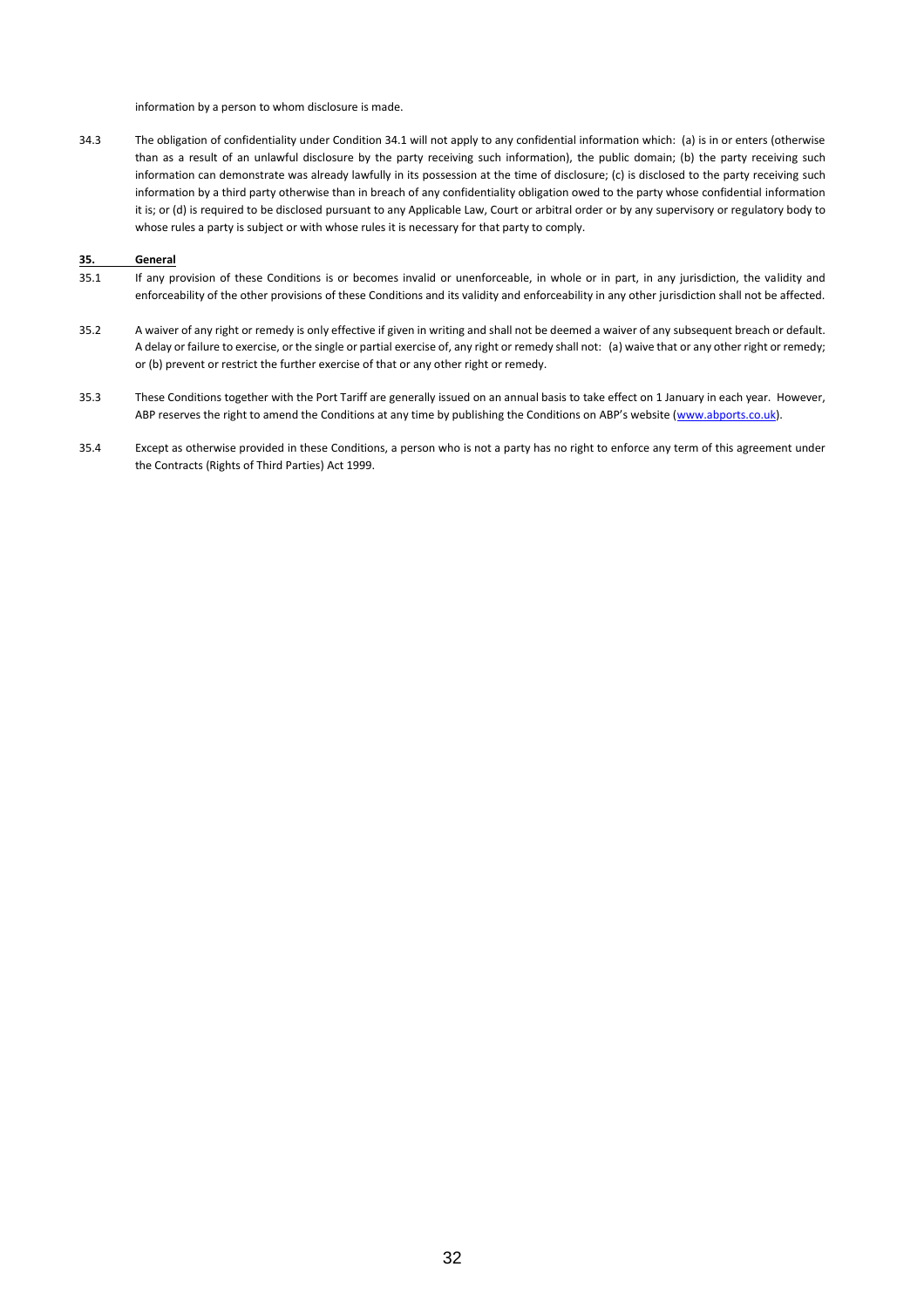information by a person to whom disclosure is made.

34.3 The obligation of confidentiality under Condition 34.1 will not apply to any confidential information which: (a) is in or enters (otherwise than as a result of an unlawful disclosure by the party receiving such information), the public domain; (b) the party receiving such information can demonstrate was already lawfully in its possession at the time of disclosure; (c) is disclosed to the party receiving such information by a third party otherwise than in breach of any confidentiality obligation owed to the party whose confidential information it is; or (d) is required to be disclosed pursuant to any Applicable Law, Court or arbitral order or by any supervisory or regulatory body to whose rules a party is subject or with whose rules it is necessary for that party to comply.

#### **35. General**

- 35.1 If any provision of these Conditions is or becomes invalid or unenforceable, in whole or in part, in any jurisdiction, the validity and enforceability of the other provisions of these Conditions and its validity and enforceability in any other jurisdiction shall not be affected.
- 35.2 A waiver of any right or remedy is only effective if given in writing and shall not be deemed a waiver of any subsequent breach or default. A delay or failure to exercise, or the single or partial exercise of, any right or remedy shall not: (a) waive that or any other right or remedy; or (b) prevent or restrict the further exercise of that or any other right or remedy.
- 35.3 These Conditions together with the Port Tariff are generally issued on an annual basis to take effect on 1 January in each year. However, ABP reserves the right to amend the Conditions at any time by publishing the Conditions on ABP's website ([www.abports.co.uk\)](http://www.abports.co.uk/).
- 35.4 Except as otherwise provided in these Conditions, a person who is not a party has no right to enforce any term of this agreement under the Contracts (Rights of Third Parties) Act 1999.